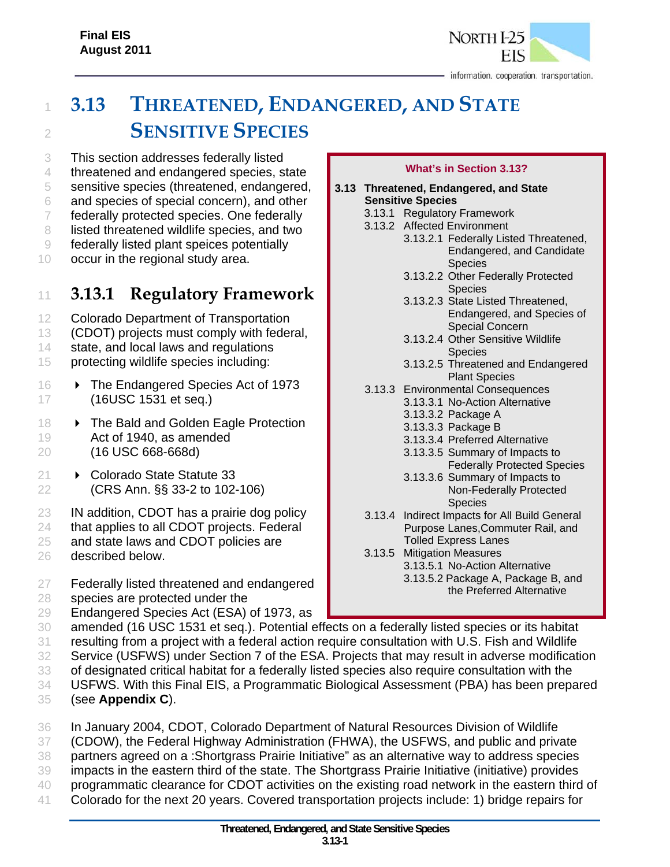

# <sup>1</sup> **3.13 THREATENED, ENDANGERED, AND STATE**  <sup>2</sup> **SENSITIVE SPECIES**

3 This section addresses federally listed

4 threatened and endangered species, state

5 sensitive species (threatened, endangered,

6 and species of special concern), and other

7 federally protected species. One federally 8 listed threatened wildlife species, and two

9 federally listed plant speices potentially

10 occur in the regional study area.

# <sup>11</sup> **3.13.1 Regulatory Framework**

- 12 Colorado Department of Transportation
- 13 (CDOT) projects must comply with federal,
- 14 state, and local laws and regulations
- 15 protecting wildlife species including:
- 16 > The Endangered Species Act of 1973 17 (16USC 1531 et seq.)
- 18 > The Bald and Golden Eagle Protection 19 Act of 1940, as amended 20 (16 USC 668-668d)
- 21 **▶ Colorado State Statute 33** 22 (CRS Ann. §§ 33-2 to 102-106)
- 23 **IN addition, CDOT has a prairie dog policy**
- 24 that applies to all CDOT projects. Federal
- 25 and state laws and CDOT policies are
- 26 described below.

27 Federally listed threatened and endangered

- 28 species are protected under the
- 29 Endangered Species Act (ESA) of 1973, as

#### **What's in Section 3.13?**

- **3.13 Threatened, Endangered, and State Sensitive Species**
	- 3.13.1 Regulatory Framework
	- 3.13.2 Affected Environment
		- 3.13.2.1 Federally Listed Threatened, Endangered, and Candidate Species
		- 3.13.2.2 Other Federally Protected **Species**
		- 3.13.2.3 State Listed Threatened, Endangered, and Species of Special Concern
		- 3.13.2.4 Other Sensitive Wildlife **Species**
		- 3.13.2.5 Threatened and Endangered Plant Species
	- 3.13.3 Environmental Consequences
		- 3.13.3.1 No-Action Alternative
			- 3.13.3.2 Package A
			- 3.13.3.3 Package B
			- 3.13.3.4 Preferred Alternative
			- 3.13.3.5 Summary of Impacts to Federally Protected Species
			- 3.13.3.6 Summary of Impacts to Non-Federally Protected **Species**
	- 3.13.4 Indirect Impacts for All Build General Purpose Lanes,Commuter Rail, and Tolled Express Lanes
	- 3.13.5 Mitigation Measures 3.13.5.1 No-Action Alternative 3.13.5.2 Package A, Package B, and the Preferred Alternative
- 30 amended (16 USC 1531 et seq.). Potential effects on a federally listed species or its habitat
- 31 resulting from a project with a federal action require consultation with U.S. Fish and Wildlife
- 32 Service (USFWS) under Section 7 of the ESA. Projects that may result in adverse modification
- 33 of designated critical habitat for a federally listed species also require consultation with the
- 34 USFWS. With this Final EIS, a Programmatic Biological Assessment (PBA) has been prepared
- 35 (see **Appendix C**).
- 36 In January 2004, CDOT, Colorado Department of Natural Resources Division of Wildlife
- 37 (CDOW), the Federal Highway Administration (FHWA), the USFWS, and public and private
- 38 partners agreed on a :Shortgrass Prairie Initiative" as an alternative way to address species
- 39 impacts in the eastern third of the state. The Shortgrass Prairie Initiative (initiative) provides
- 40 programmatic clearance for CDOT activities on the existing road network in the eastern third of
- 41 Colorado for the next 20 years. Covered transportation projects include: 1) bridge repairs for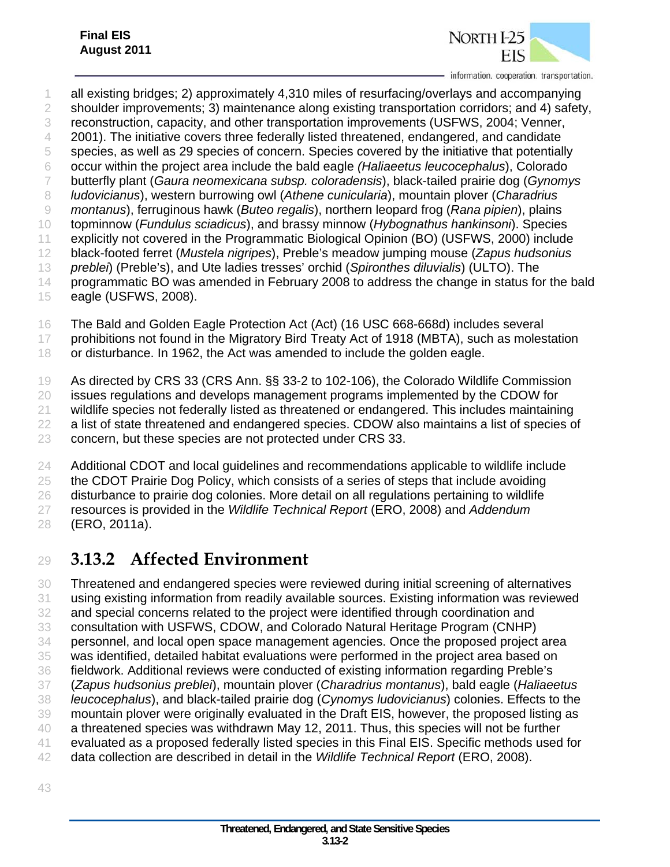

 all existing bridges; 2) approximately 4,310 miles of resurfacing/overlays and accompanying shoulder improvements; 3) maintenance along existing transportation corridors; and 4) safety, reconstruction, capacity, and other transportation improvements (USFWS, 2004; Venner, 4 2001). The initiative covers three federally listed threatened, endangered, and candidate species, as well as 29 species of concern. Species covered by the initiative that potentially occur within the project area include the bald eagle *(Haliaeetus leucocephalus*), Colorado butterfly plant (*Gaura neomexicana subsp. coloradensis*), black-tailed prairie dog (*Gynomys ludovicianus*), western burrowing owl (*Athene cunicularia*), mountain plover (*Charadrius montanus*), ferruginous hawk (*Buteo regalis*), northern leopard frog (*Rana pipien*), plains topminnow (*Fundulus sciadicus*), and brassy minnow (*Hybognathus hankinsoni*). Species explicitly not covered in the Programmatic Biological Opinion (BO) (USFWS, 2000) include black-footed ferret (*Mustela nigripes*), Preble's meadow jumping mouse (*Zapus hudsonius preblei*) (Preble's), and Ute ladies tresses' orchid (*Spironthes diluvialis*) (ULTO). The 14 programmatic BO was amended in February 2008 to address the change in status for the bald eagle (USFWS, 2008).

- The Bald and Golden Eagle Protection Act (Act) (16 USC 668-668d) includes several
- 17 prohibitions not found in the Migratory Bird Treaty Act of 1918 (MBTA), such as molestation
- or disturbance. In 1962, the Act was amended to include the golden eagle.

 As directed by CRS 33 (CRS Ann. §§ 33-2 to 102-106), the Colorado Wildlife Commission issues regulations and develops management programs implemented by the CDOW for wildlife species not federally listed as threatened or endangered. This includes maintaining a list of state threatened and endangered species. CDOW also maintains a list of species of concern, but these species are not protected under CRS 33.

 Additional CDOT and local guidelines and recommendations applicable to wildlife include the CDOT Prairie Dog Policy, which consists of a series of steps that include avoiding disturbance to prairie dog colonies. More detail on all regulations pertaining to wildlife resources is provided in the *Wildlife Technical Report* (ERO, 2008) and *Addendum*  (ERO, 2011a).

# **3.13.2 Affected Environment**

 Threatened and endangered species were reviewed during initial screening of alternatives using existing information from readily available sources. Existing information was reviewed and special concerns related to the project were identified through coordination and consultation with USFWS, CDOW, and Colorado Natural Heritage Program (CNHP) personnel, and local open space management agencies. Once the proposed project area was identified, detailed habitat evaluations were performed in the project area based on fieldwork. Additional reviews were conducted of existing information regarding Preble's (*Zapus hudsonius preblei*), mountain plover (*Charadrius montanus*), bald eagle (*Haliaeetus leucocephalus*), and black-tailed prairie dog (*Cynomys ludovicianus*) colonies. Effects to the mountain plover were originally evaluated in the Draft EIS, however, the proposed listing as a threatened species was withdrawn May 12, 2011. Thus, this species will not be further evaluated as a proposed federally listed species in this Final EIS. Specific methods used for data collection are described in detail in the *Wildlife Technical Report* (ERO, 2008).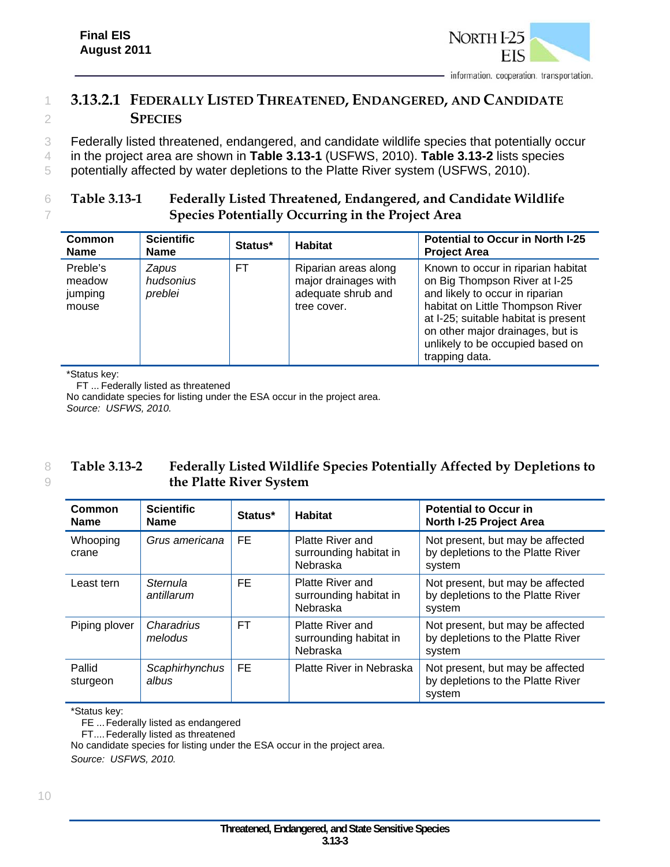

# 1 **3.13.2.1 FEDERALLY LISTED THREATENED, ENDANGERED, AND CANDIDATE**  2 **SPECIES**

3 Federally listed threatened, endangered, and candidate wildlife species that potentially occur

4 in the project area are shown in **Table 3.13-1** (USFWS, 2010). **Table 3.13-2** lists species

5 potentially affected by water depletions to the Platte River system (USFWS, 2010).

#### 6 **Table 3.13-1 Federally Listed Threatened, Endangered, and Candidate Wildlife**  7 **Species Potentially Occurring in the Project Area**

| <b>Common</b><br><b>Name</b>           | <b>Scientific</b><br><b>Name</b>     | Status* | <b>Habitat</b>                                                                    | <b>Potential to Occur in North I-25</b><br><b>Project Area</b>                                                                                                                                                                                                               |
|----------------------------------------|--------------------------------------|---------|-----------------------------------------------------------------------------------|------------------------------------------------------------------------------------------------------------------------------------------------------------------------------------------------------------------------------------------------------------------------------|
| Preble's<br>meadow<br>jumping<br>mouse | <b>Zapus</b><br>hudsonius<br>preblei | FT      | Riparian areas along<br>major drainages with<br>adequate shrub and<br>tree cover. | Known to occur in riparian habitat<br>on Big Thompson River at I-25<br>and likely to occur in riparian<br>habitat on Little Thompson River<br>at I-25; suitable habitat is present<br>on other major drainages, but is<br>unlikely to be occupied based on<br>trapping data. |

\*Status key:

FT ... Federally listed as threatened

No candidate species for listing under the ESA occur in the project area. *Source: USFWS, 2010.*

#### 8 **Table 3.13-2 Federally Listed Wildlife Species Potentially Affected by Depletions to**  9 **the Platte River System**

| Common<br><b>Name</b> | <b>Scientific</b><br><b>Name</b> | Status*   | <b>Habitat</b>                                                | <b>Potential to Occur in</b><br>North I-25 Project Area                         |
|-----------------------|----------------------------------|-----------|---------------------------------------------------------------|---------------------------------------------------------------------------------|
| Whooping<br>crane     | Grus americana                   | FE.       | <b>Platte River and</b><br>surrounding habitat in<br>Nebraska | Not present, but may be affected<br>by depletions to the Platte River<br>system |
| Least tern            | Sternula<br>antillarum           | FE        | <b>Platte River and</b><br>surrounding habitat in<br>Nebraska | Not present, but may be affected<br>by depletions to the Platte River<br>system |
| Piping plover         | Charadrius<br>melodus            | <b>FT</b> | Platte River and<br>surrounding habitat in<br>Nebraska        | Not present, but may be affected<br>by depletions to the Platte River<br>system |
| Pallid<br>sturgeon    | Scaphirhynchus<br>albus          | FE.       | Platte River in Nebraska                                      | Not present, but may be affected<br>by depletions to the Platte River<br>system |

\*Status key:

FE ... Federally listed as endangered

FT .... Federally listed as threatened

No candidate species for listing under the ESA occur in the project area.

*Source: USFWS, 2010.*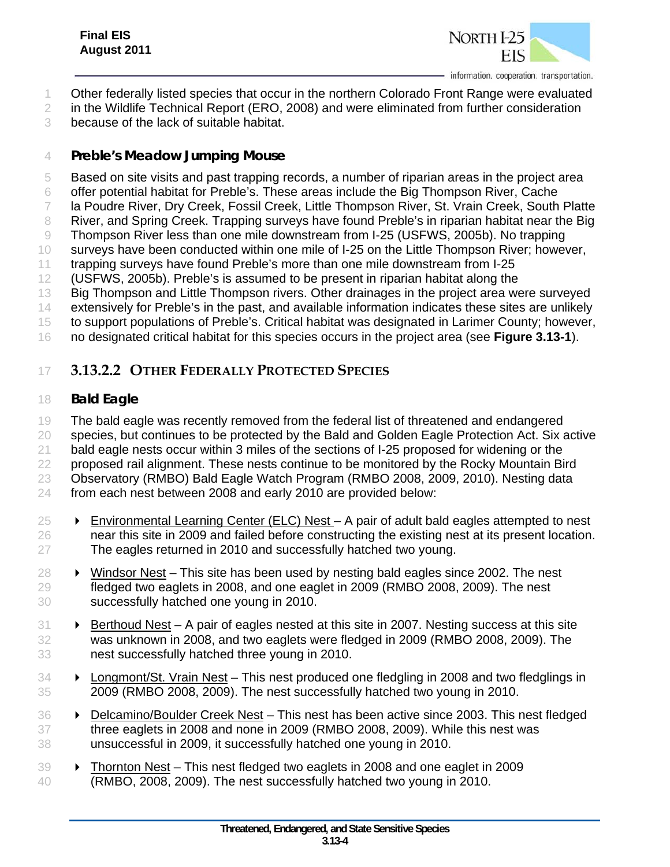

Other federally listed species that occur in the northern Colorado Front Range were evaluated

2 in the Wildlife Technical Report (ERO, 2008) and were eliminated from further consideration

because of the lack of suitable habitat.

#### *Preble's Meadow Jumping Mouse*

Based on site visits and past trapping records, a number of riparian areas in the project area

offer potential habitat for Preble's. These areas include the Big Thompson River, Cache

la Poudre River, Dry Creek, Fossil Creek, Little Thompson River, St. Vrain Creek, South Platte

8 River, and Spring Creek. Trapping surveys have found Preble's in riparian habitat near the Big

Thompson River less than one mile downstream from I-25 (USFWS, 2005b). No trapping

surveys have been conducted within one mile of I-25 on the Little Thompson River; however,

trapping surveys have found Preble's more than one mile downstream from I-25

(USFWS, 2005b). Preble's is assumed to be present in riparian habitat along the

- 13 Big Thompson and Little Thompson rivers. Other drainages in the project area were surveyed
- extensively for Preble's in the past, and available information indicates these sites are unlikely

to support populations of Preble's. Critical habitat was designated in Larimer County; however,

no designated critical habitat for this species occurs in the project area (see **Figure 3.13-1**).

# **3.13.2.2 OTHER FEDERALLY PROTECTED SPECIES**

### *Bald Eagle*

 The bald eagle was recently removed from the federal list of threatened and endangered species, but continues to be protected by the Bald and Golden Eagle Protection Act. Six active bald eagle nests occur within 3 miles of the sections of I-25 proposed for widening or the 22 proposed rail alignment. These nests continue to be monitored by the Rocky Mountain Bird Observatory (RMBO) Bald Eagle Watch Program (RMBO 2008, 2009, 2010). Nesting data from each nest between 2008 and early 2010 are provided below:

- $25 \rightarrow$  Environmental Learning Center (ELC) Nest A pair of adult bald eagles attempted to nest near this site in 2009 and failed before constructing the existing nest at its present location. The eagles returned in 2010 and successfully hatched two young.
- 28  $\rightarrow$  Windsor Nest This site has been used by nesting bald eagles since 2002. The nest fledged two eaglets in 2008, and one eaglet in 2009 (RMBO 2008, 2009). The nest successfully hatched one young in 2010.
- $31 \rightarrow$  Berthoud Nest A pair of eagles nested at this site in 2007. Nesting success at this site was unknown in 2008, and two eaglets were fledged in 2009 (RMBO 2008, 2009). The nest successfully hatched three young in 2010.
- **Example 1** Longmont/St. Vrain Nest This nest produced one fledgling in 2008 and two fledglings in 2009 (RMBO 2008, 2009). The nest successfully hatched two young in 2010.
- **Delcamino/Boulder Creek Nest** This nest has been active since 2003. This nest fledged three eaglets in 2008 and none in 2009 (RMBO 2008, 2009). While this nest was unsuccessful in 2009, it successfully hatched one young in 2010.
- Thornton Nest This nest fledged two eaglets in 2008 and one eaglet in 2009 (RMBO, 2008, 2009). The nest successfully hatched two young in 2010.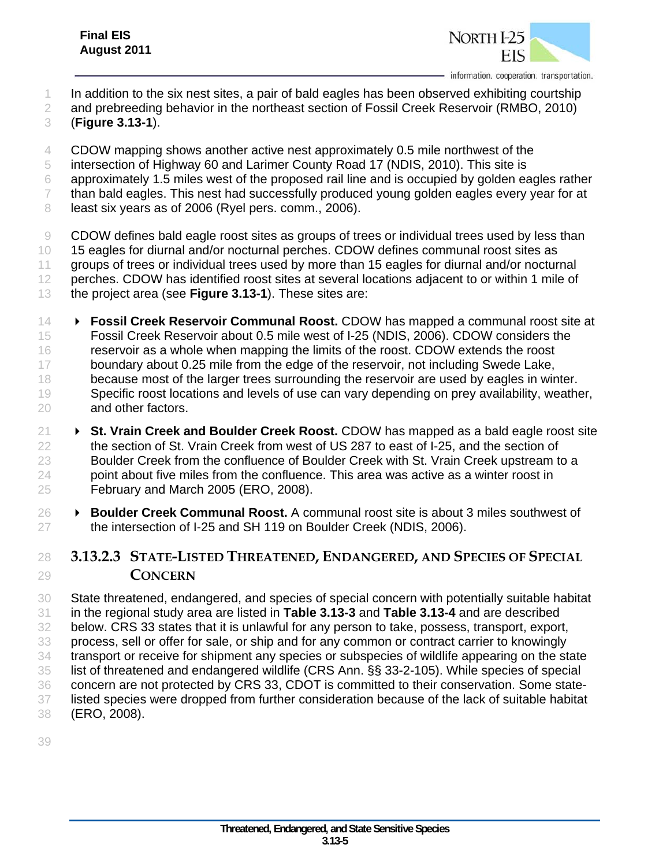

- In addition to the six nest sites, a pair of bald eagles has been observed exhibiting courtship
- and prebreeding behavior in the northeast section of Fossil Creek Reservoir (RMBO, 2010)
- (**Figure 3.13-1**).

CDOW mapping shows another active nest approximately 0.5 mile northwest of the

- intersection of Highway 60 and Larimer County Road 17 (NDIS, 2010). This site is
- approximately 1.5 miles west of the proposed rail line and is occupied by golden eagles rather
- than bald eagles. This nest had successfully produced young golden eagles every year for at
- 8 least six years as of 2006 (Ryel pers. comm., 2006).

 CDOW defines bald eagle roost sites as groups of trees or individual trees used by less than 10 15 eagles for diurnal and/or nocturnal perches. CDOW defines communal roost sites as groups of trees or individual trees used by more than 15 eagles for diurnal and/or nocturnal perches. CDOW has identified roost sites at several locations adjacent to or within 1 mile of the project area (see **Figure 3.13-1**). These sites are:

- **Fossil Creek Reservoir Communal Roost.** CDOW has mapped a communal roost site at Fossil Creek Reservoir about 0.5 mile west of I-25 (NDIS, 2006). CDOW considers the reservoir as a whole when mapping the limits of the roost. CDOW extends the roost 17 boundary about 0.25 mile from the edge of the reservoir, not including Swede Lake, 18 because most of the larger trees surrounding the reservoir are used by eagles in winter. 19 Specific roost locations and levels of use can vary depending on prey availability, weather, and other factors.
- **St. Vrain Creek and Boulder Creek Roost.** CDOW has mapped as a bald eagle roost site the section of St. Vrain Creek from west of US 287 to east of I-25, and the section of 23 Boulder Creek from the confluence of Boulder Creek with St. Vrain Creek upstream to a point about five miles from the confluence. This area was active as a winter roost in February and March 2005 (ERO, 2008).
- **Boulder Creek Communal Roost.** A communal roost site is about 3 miles southwest of 27 the intersection of I-25 and SH 119 on Boulder Creek (NDIS, 2006).

# **3.13.2.3 STATE-LISTED THREATENED, ENDANGERED, AND SPECIES OF SPECIAL CONCERN**

 State threatened, endangered, and species of special concern with potentially suitable habitat in the regional study area are listed in **Table 3.13-3** and **Table 3.13-4** and are described below. CRS 33 states that it is unlawful for any person to take, possess, transport, export, process, sell or offer for sale, or ship and for any common or contract carrier to knowingly transport or receive for shipment any species or subspecies of wildlife appearing on the state list of threatened and endangered wildlife (CRS Ann. §§ 33-2-105). While species of special concern are not protected by CRS 33, CDOT is committed to their conservation. Some state- listed species were dropped from further consideration because of the lack of suitable habitat (ERO, 2008).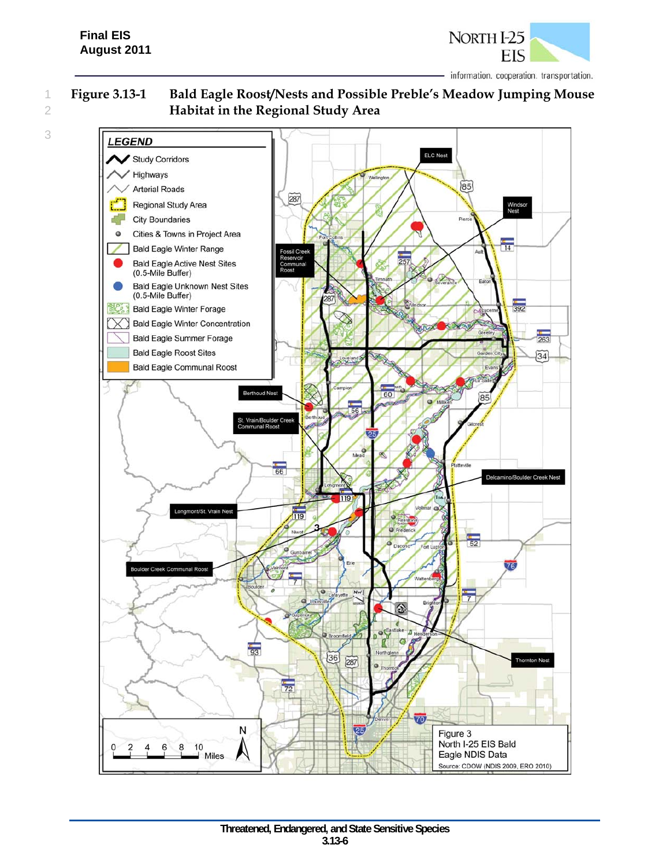

1 **Figure 3.13-1 Bald Eagle Roost/Nests and Possible Preble's Meadow Jumping Mouse**  2 **Habitat in the Regional Study Area** 



3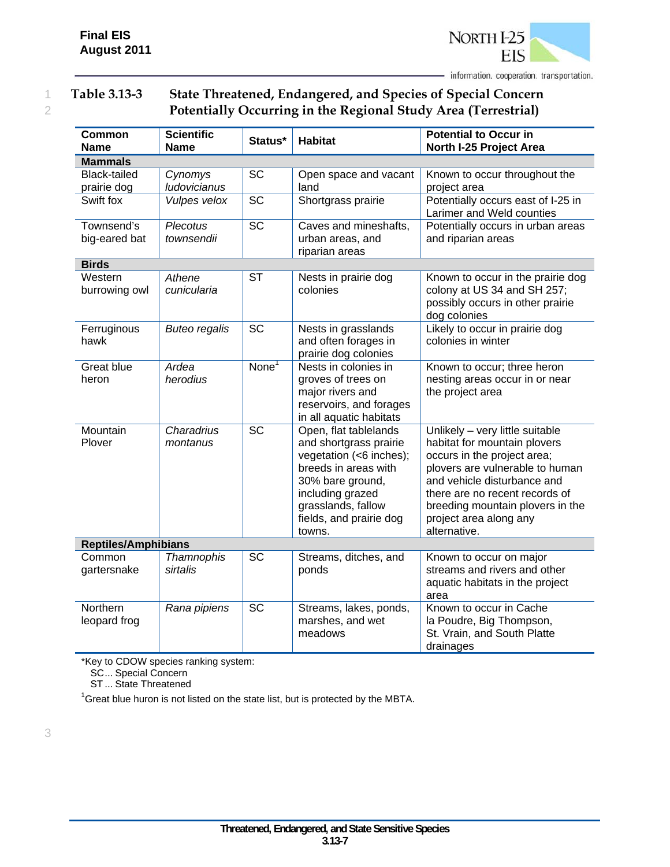

## 1 **Table 3.13-3 State Threatened, Endangered, and Species of Special Concern**  2 **Potentially Occurring in the Regional Study Area (Terrestrial)**

| <b>Common</b><br><b>Name</b> | <b>Scientific</b><br><b>Name</b> | Status*                    | <b>Habitat</b>                                                                                                                                                                                        | <b>Potential to Occur in</b><br>North I-25 Project Area                                                                                                                                                                                                                          |
|------------------------------|----------------------------------|----------------------------|-------------------------------------------------------------------------------------------------------------------------------------------------------------------------------------------------------|----------------------------------------------------------------------------------------------------------------------------------------------------------------------------------------------------------------------------------------------------------------------------------|
| <b>Mammals</b>               |                                  |                            |                                                                                                                                                                                                       |                                                                                                                                                                                                                                                                                  |
| Black-tailed<br>prairie dog  | Cynomys<br>ludovicianus          | <b>SC</b>                  | Open space and vacant<br>land                                                                                                                                                                         | Known to occur throughout the<br>project area                                                                                                                                                                                                                                    |
| Swift fox                    | Vulpes velox                     | <b>SC</b>                  | Shortgrass prairie                                                                                                                                                                                    | Potentially occurs east of I-25 in<br>Larimer and Weld counties                                                                                                                                                                                                                  |
| Townsend's<br>big-eared bat  | <b>Plecotus</b><br>townsendii    | <b>SC</b>                  | Caves and mineshafts,<br>urban areas, and<br>riparian areas                                                                                                                                           | Potentially occurs in urban areas<br>and riparian areas                                                                                                                                                                                                                          |
| <b>Birds</b>                 |                                  |                            |                                                                                                                                                                                                       |                                                                                                                                                                                                                                                                                  |
| Western<br>burrowing owl     | Athene<br>cunicularia            | <b>ST</b>                  | Nests in prairie dog<br>colonies                                                                                                                                                                      | Known to occur in the prairie dog<br>colony at US 34 and SH 257;<br>possibly occurs in other prairie<br>dog colonies                                                                                                                                                             |
| Ferruginous<br>hawk          | <b>Buteo regalis</b>             | <b>SC</b>                  | Nests in grasslands<br>and often forages in<br>prairie dog colonies                                                                                                                                   | Likely to occur in prairie dog<br>colonies in winter                                                                                                                                                                                                                             |
| <b>Great blue</b><br>heron   | Ardea<br>herodius                | $\overline{\text{None}}^1$ | Nests in colonies in<br>groves of trees on<br>major rivers and<br>reservoirs, and forages<br>in all aquatic habitats                                                                                  | Known to occur; three heron<br>nesting areas occur in or near<br>the project area                                                                                                                                                                                                |
| Mountain<br>Plover           | Charadrius<br>montanus           | $\overline{SC}$            | Open, flat tablelands<br>and shortgrass prairie<br>vegetation (<6 inches);<br>breeds in areas with<br>30% bare ground,<br>including grazed<br>grasslands, fallow<br>fields, and prairie dog<br>towns. | Unlikely - very little suitable<br>habitat for mountain plovers<br>occurs in the project area;<br>plovers are vulnerable to human<br>and vehicle disturbance and<br>there are no recent records of<br>breeding mountain plovers in the<br>project area along any<br>alternative. |
| <b>Reptiles/Amphibians</b>   |                                  |                            |                                                                                                                                                                                                       |                                                                                                                                                                                                                                                                                  |
| Common<br>gartersnake        | Thamnophis<br>sirtalis           | <b>SC</b>                  | Streams, ditches, and<br>ponds                                                                                                                                                                        | Known to occur on major<br>streams and rivers and other<br>aquatic habitats in the project<br>area                                                                                                                                                                               |
| Northern<br>leopard frog     | Rana pipiens                     | <b>SC</b>                  | Streams, lakes, ponds,<br>marshes, and wet<br>meadows                                                                                                                                                 | Known to occur in Cache<br>la Poudre, Big Thompson,<br>St. Vrain, and South Platte<br>drainages                                                                                                                                                                                  |

\*Key to CDOW species ranking system:

SC ... Special Concern

ST ... State Threatened

 $1$ Great blue huron is not listed on the state list, but is protected by the MBTA.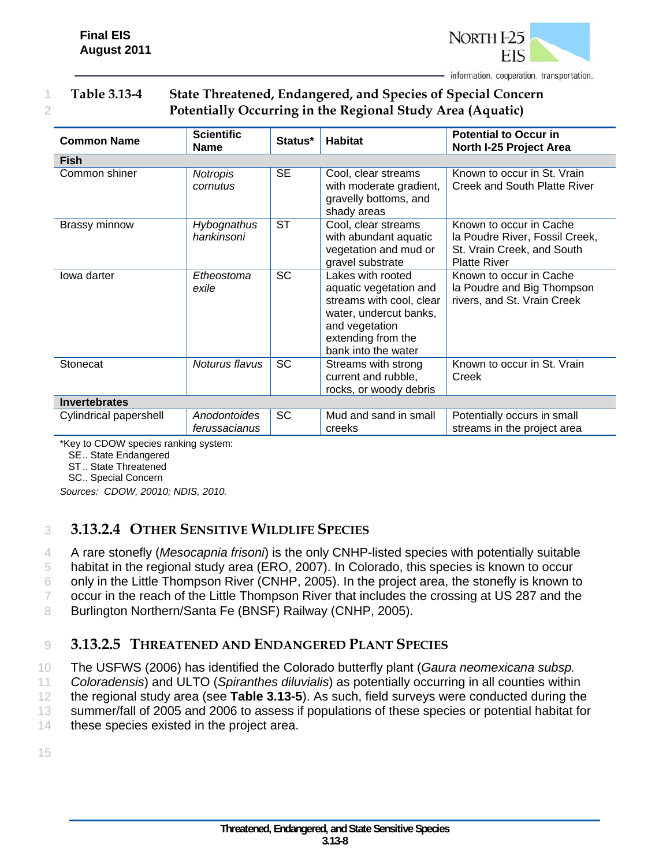

## 1 **Table 3.13-4 State Threatened, Endangered, and Species of Special Concern**  2 **Potentially Occurring in the Regional Study Area (Aquatic)**

| <b>Common Name</b>     | <b>Scientific</b><br><b>Name</b> | Status*   | <b>Habitat</b>                                                                                                                                                   | <b>Potential to Occur in</b><br>North I-25 Project Area                                                        |
|------------------------|----------------------------------|-----------|------------------------------------------------------------------------------------------------------------------------------------------------------------------|----------------------------------------------------------------------------------------------------------------|
| <b>Fish</b>            |                                  |           |                                                                                                                                                                  |                                                                                                                |
| Common shiner          | Notropis<br>cornutus             | <b>SE</b> | Cool, clear streams<br>with moderate gradient,<br>gravelly bottoms, and<br>shady areas                                                                           | Known to occur in St. Vrain<br><b>Creek and South Platte River</b>                                             |
| Brassy minnow          | Hybognathus<br>hankinsoni        | <b>ST</b> | Cool, clear streams<br>with abundant aquatic<br>vegetation and mud or<br>gravel substrate                                                                        | Known to occur in Cache<br>la Poudre River, Fossil Creek,<br>St. Vrain Creek, and South<br><b>Platte River</b> |
| lowa darter            | Etheostoma<br>exile              | <b>SC</b> | Lakes with rooted<br>aquatic vegetation and<br>streams with cool, clear<br>water, undercut banks,<br>and vegetation<br>extending from the<br>bank into the water | Known to occur in Cache<br>la Poudre and Big Thompson<br>rivers, and St. Vrain Creek                           |
| Stonecat               | Noturus flavus                   | <b>SC</b> | Streams with strong<br>current and rubble,<br>rocks, or woody debris                                                                                             | Known to occur in St. Vrain<br>Creek                                                                           |
| <b>Invertebrates</b>   |                                  |           |                                                                                                                                                                  |                                                                                                                |
| Cylindrical papershell | Anodontoides<br>ferussacianus    | SC        | Mud and sand in small<br>creeks                                                                                                                                  | Potentially occurs in small<br>streams in the project area                                                     |

\*Key to CDOW species ranking system:

SE .. State Endangered

ST .. State Threatened

SC .. Special Concern

*Sources: CDOW, 20010; NDIS, 2010.* 

## 3 **3.13.2.4 OTHER SENSITIVE WILDLIFE SPECIES**

4 A rare stonefly (*Mesocapnia frisoni*) is the only CNHP-listed species with potentially suitable

5 habitat in the regional study area (ERO, 2007). In Colorado, this species is known to occur

6 only in the Little Thompson River (CNHP, 2005). In the project area, the stonefly is known to

7 occur in the reach of the Little Thompson River that includes the crossing at US 287 and the

8 Burlington Northern/Santa Fe (BNSF) Railway (CNHP, 2005).

#### 9 **3.13.2.5 THREATENED AND ENDANGERED PLANT SPECIES**

10 The USFWS (2006) has identified the Colorado butterfly plant (*Gaura neomexicana subsp.* 

11 *Coloradensis*) and ULTO (*Spiranthes diluvialis*) as potentially occurring in all counties within

12 the regional study area (see **Table 3.13-5**). As such, field surveys were conducted during the

13 summer/fall of 2005 and 2006 to assess if populations of these species or potential habitat for

14 these species existed in the project area.

15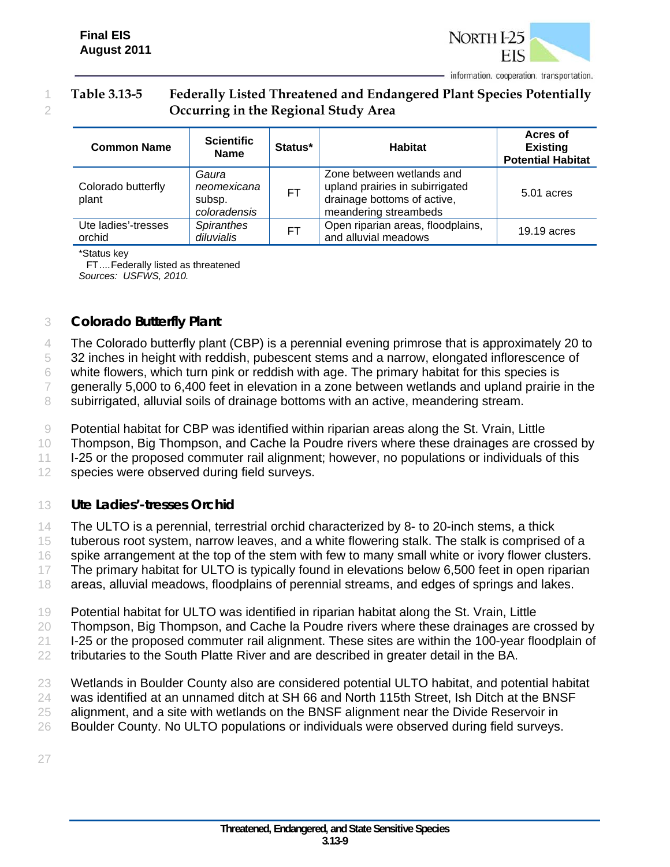

### 1 **Table 3.13-5 Federally Listed Threatened and Endangered Plant Species Potentially**  2 **Occurring in the Regional Study Area**

| <b>Common Name</b>            | <b>Scientific</b><br><b>Name</b>               | Status*   | <b>Habitat</b>                                                                                                       | Acres of<br><b>Existing</b><br><b>Potential Habitat</b> |
|-------------------------------|------------------------------------------------|-----------|----------------------------------------------------------------------------------------------------------------------|---------------------------------------------------------|
| Colorado butterfly<br>plant   | Gaura<br>neomexicana<br>subsp.<br>coloradensis | FT.       | Zone between wetlands and<br>upland prairies in subirrigated<br>drainage bottoms of active,<br>meandering streambeds | 5.01 acres                                              |
| Ute ladies'-tresses<br>orchid | <b>Spiranthes</b><br>diluvialis                | <b>FT</b> | Open riparian areas, floodplains,<br>and alluvial meadows                                                            | 19.19 acres                                             |

\*Status key

FT .... Federally listed as threatened *Sources: USFWS, 2010.*

#### 3 *Colorado Butterfly Plant*

4 The Colorado butterfly plant (CBP) is a perennial evening primrose that is approximately 20 to

5 32 inches in height with reddish, pubescent stems and a narrow, elongated inflorescence of

6 white flowers, which turn pink or reddish with age. The primary habitat for this species is

7 generally 5,000 to 6,400 feet in elevation in a zone between wetlands and upland prairie in the

8 subirrigated, alluvial soils of drainage bottoms with an active, meandering stream.

9 Potential habitat for CBP was identified within riparian areas along the St. Vrain, Little

10 Thompson, Big Thompson, and Cache la Poudre rivers where these drainages are crossed by

11 I-25 or the proposed commuter rail alignment; however, no populations or individuals of this

12 species were observed during field surveys.

#### 13 *Ute Ladies'-tresses Orchid*

14 The ULTO is a perennial, terrestrial orchid characterized by 8- to 20-inch stems, a thick

15 tuberous root system, narrow leaves, and a white flowering stalk. The stalk is comprised of a

16 spike arrangement at the top of the stem with few to many small white or ivory flower clusters.

17 The primary habitat for ULTO is typically found in elevations below 6,500 feet in open riparian

18 areas, alluvial meadows, floodplains of perennial streams, and edges of springs and lakes.

19 Potential habitat for ULTO was identified in riparian habitat along the St. Vrain, Little

20 Thompson, Big Thompson, and Cache la Poudre rivers where these drainages are crossed by

21 I-25 or the proposed commuter rail alignment. These sites are within the 100-year floodplain of

22 tributaries to the South Platte River and are described in greater detail in the BA.

23 Wetlands in Boulder County also are considered potential ULTO habitat, and potential habitat

24 was identified at an unnamed ditch at SH 66 and North 115th Street, Ish Ditch at the BNSF

- 25 alignment, and a site with wetlands on the BNSF alignment near the Divide Reservoir in
- 26 Boulder County. No ULTO populations or individuals were observed during field surveys.

27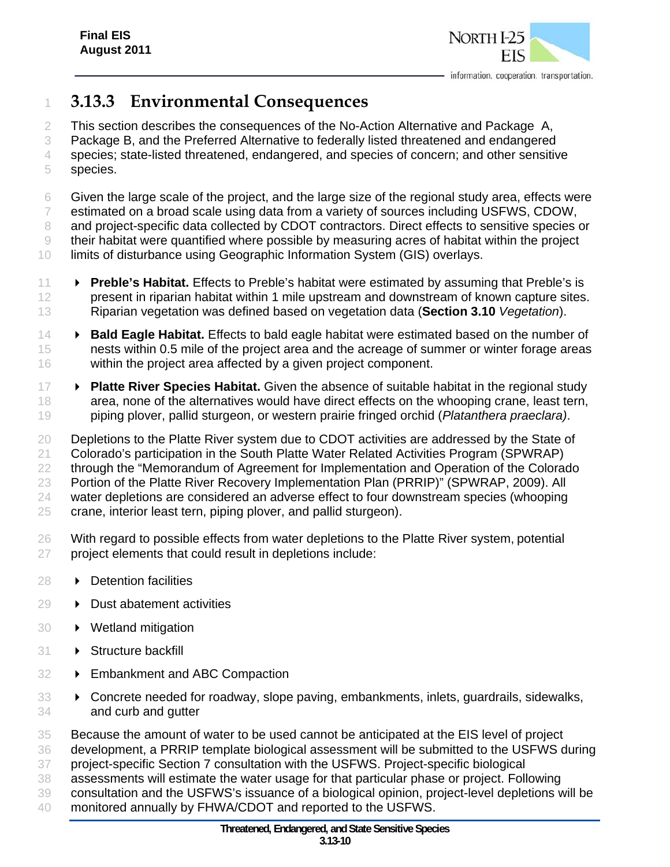

# **3.13.3 Environmental Consequences**

2 This section describes the consequences of the No-Action Alternative and Package A,

 Package B, and the Preferred Alternative to federally listed threatened and endangered species; state-listed threatened, endangered, and species of concern; and other sensitive

species.

 Given the large scale of the project, and the large size of the regional study area, effects were estimated on a broad scale using data from a variety of sources including USFWS, CDOW, 8 and project-specific data collected by CDOT contractors. Direct effects to sensitive species or their habitat were quantified where possible by measuring acres of habitat within the project limits of disturbance using Geographic Information System (GIS) overlays.

- **Preble's Habitat.** Effects to Preble's habitat were estimated by assuming that Preble's is 12 present in riparian habitat within 1 mile upstream and downstream of known capture sites. Riparian vegetation was defined based on vegetation data (**Section 3.10** *Vegetation*).
- **Bald Eagle Habitat.** Effects to bald eagle habitat were estimated based on the number of 15 nests within 0.5 mile of the project area and the acreage of summer or winter forage areas within the project area affected by a given project component.
- **Platte River Species Habitat.** Given the absence of suitable habitat in the regional study 18 area, none of the alternatives would have direct effects on the whooping crane, least tern, piping plover, pallid sturgeon, or western prairie fringed orchid (*Platanthera praeclara)*.

 Depletions to the Platte River system due to CDOT activities are addressed by the State of Colorado's participation in the South Platte Water Related Activities Program (SPWRAP) through the "Memorandum of Agreement for Implementation and Operation of the Colorado Portion of the Platte River Recovery Implementation Plan (PRRIP)" (SPWRAP, 2009). All water depletions are considered an adverse effect to four downstream species (whooping crane, interior least tern, piping plover, and pallid sturgeon).

- With regard to possible effects from water depletions to the Platte River system, potential project elements that could result in depletions include:
- **Detention facilities**
- **Dust abatement activities**
- Wetland mitigation
- 31 > Structure backfill
- 32 Embankment and ABC Compaction
- Concrete needed for roadway, slope paving, embankments, inlets, guardrails, sidewalks, and curb and gutter
- Because the amount of water to be used cannot be anticipated at the EIS level of project
- development, a PRRIP template biological assessment will be submitted to the USFWS during
- project-specific Section 7 consultation with the USFWS. Project-specific biological
- assessments will estimate the water usage for that particular phase or project. Following
- consultation and the USFWS's issuance of a biological opinion, project-level depletions will be monitored annually by FHWA/CDOT and reported to the USFWS.
	-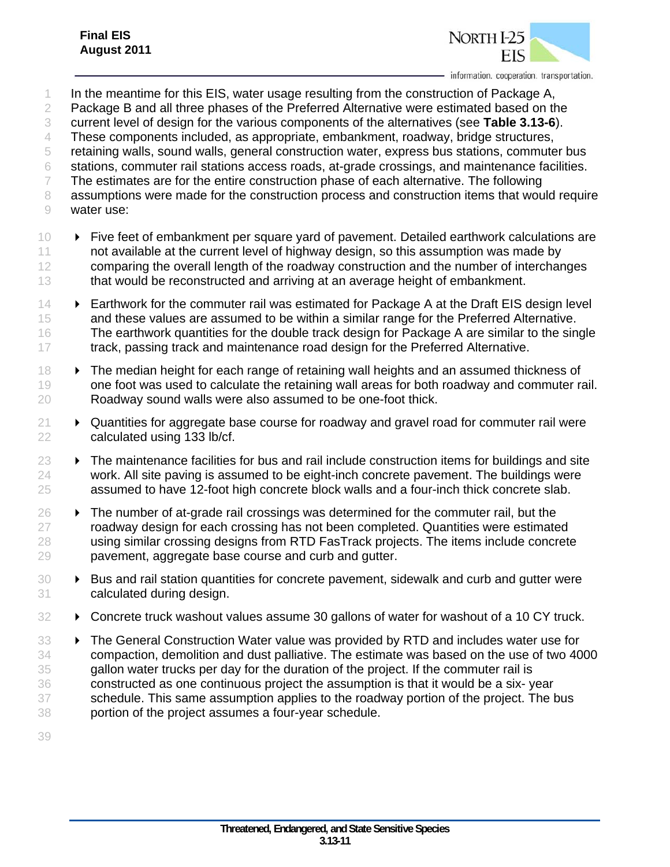

- 1 In the meantime for this EIS, water usage resulting from the construction of Package A,
- 2 Package B and all three phases of the Preferred Alternative were estimated based on the
- 3 current level of design for the various components of the alternatives (see **Table 3.13-6**).
- 4 These components included, as appropriate, embankment, roadway, bridge structures,
- 5 retaining walls, sound walls, general construction water, express bus stations, commuter bus
- 6 stations, commuter rail stations access roads, at-grade crossings, and maintenance facilities.
- 7 The estimates are for the entire construction phase of each alternative. The following
- 8 assumptions were made for the construction process and construction items that would require 9 water use:
- 10 > Five feet of embankment per square yard of pavement. Detailed earthwork calculations are 11 not available at the current level of highway design, so this assumption was made by 12 comparing the overall length of the roadway construction and the number of interchanges 13 that would be reconstructed and arriving at an average height of embankment.
- 14 **Earthwork for the commuter rail was estimated for Package A at the Draft EIS design level** 15 and these values are assumed to be within a similar range for the Preferred Alternative. 16 The earthwork quantities for the double track design for Package A are similar to the single 17 track, passing track and maintenance road design for the Preferred Alternative.
- 18  **The median height for each range of retaining wall heights and an assumed thickness of** 19 one foot was used to calculate the retaining wall areas for both roadway and commuter rail. 20 Roadway sound walls were also assumed to be one-foot thick.
- $21 \rightarrow$  Quantities for aggregate base course for roadway and gravel road for commuter rail were 22 calculated using 133 lb/cf.
- $23 \rightarrow$  The maintenance facilities for bus and rail include construction items for buildings and site 24 work. All site paving is assumed to be eight-inch concrete pavement. The buildings were 25 assumed to have 12-foot high concrete block walls and a four-inch thick concrete slab.
- $26 \rightarrow$  The number of at-grade rail crossings was determined for the commuter rail, but the 27 roadway design for each crossing has not been completed. Quantities were estimated 28 using similar crossing designs from RTD FasTrack projects. The items include concrete 29 pavement, aggregate base course and curb and gutter.
- 30 **Bus and rail station quantities for concrete pavement, sidewalk and curb and gutter were** 31 calculated during design.
- 32 > Concrete truck washout values assume 30 gallons of water for washout of a 10 CY truck.
- 33 > The General Construction Water value was provided by RTD and includes water use for 34 compaction, demolition and dust palliative. The estimate was based on the use of two 4000 35 gallon water trucks per day for the duration of the project. If the commuter rail is 36 constructed as one continuous project the assumption is that it would be a six- year 37 schedule. This same assumption applies to the roadway portion of the project. The bus 38 portion of the project assumes a four-year schedule.
- 39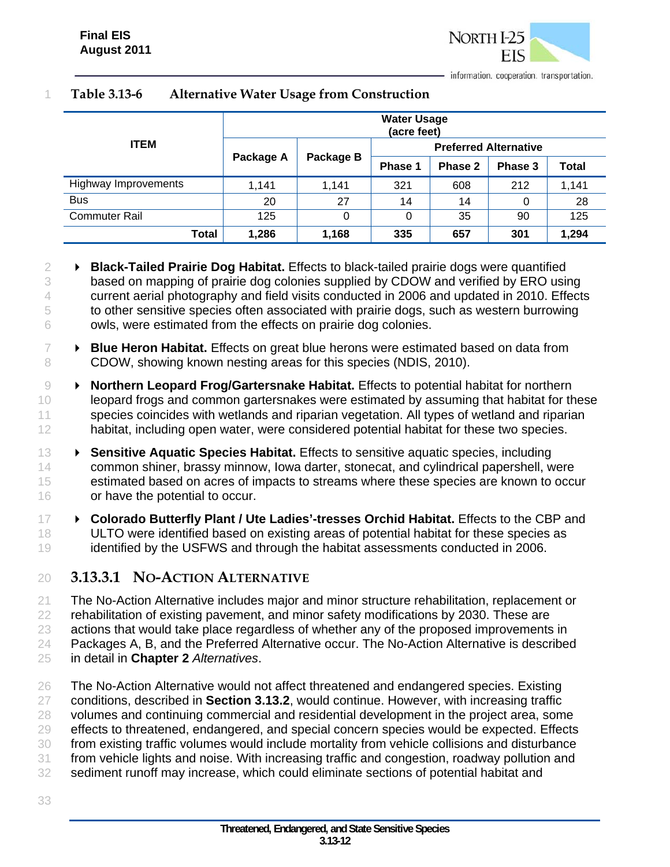

|                      | <b>Water Usage</b><br>(acre feet) |           |                              |         |         |              |  |  |
|----------------------|-----------------------------------|-----------|------------------------------|---------|---------|--------------|--|--|
| <b>ITEM</b>          | Package A                         | Package B | <b>Preferred Alternative</b> |         |         |              |  |  |
|                      |                                   |           | Phase 1                      | Phase 2 | Phase 3 | <b>Total</b> |  |  |
| Highway Improvements | 1,141                             | 1,141     | 321                          | 608     | 212     | 1,141        |  |  |
| <b>Bus</b>           | 20                                | 27        | 14                           | 14      | 0       | 28           |  |  |
| <b>Commuter Rail</b> | 125                               | 0         | 0                            | 35      | 90      | 125          |  |  |
| Total                | 1,286                             | 1,168     | 335                          | 657     | 301     | 1,294        |  |  |

#### **Table 3.13-6 Alternative Water Usage from Construction**

- **Black-Tailed Prairie Dog Habitat.** Effects to black-tailed prairie dogs were quantified based on mapping of prairie dog colonies supplied by CDOW and verified by ERO using current aerial photography and field visits conducted in 2006 and updated in 2010. Effects to other sensitive species often associated with prairie dogs, such as western burrowing owls, were estimated from the effects on prairie dog colonies.
- **Blue Heron Habitat.** Effects on great blue herons were estimated based on data from 8 CDOW, showing known nesting areas for this species (NDIS, 2010).
- **Northern Leopard Frog/Gartersnake Habitat.** Effects to potential habitat for northern leopard frogs and common gartersnakes were estimated by assuming that habitat for these 11 species coincides with wetlands and riparian vegetation. All types of wetland and riparian habitat, including open water, were considered potential habitat for these two species.
- **Sensitive Aquatic Species Habitat.** Effects to sensitive aquatic species, including common shiner, brassy minnow, Iowa darter, stonecat, and cylindrical papershell, were estimated based on acres of impacts to streams where these species are known to occur or have the potential to occur.
- **Colorado Butterfly Plant / Ute Ladies'-tresses Orchid Habitat.** Effects to the CBP and ULTO were identified based on existing areas of potential habitat for these species as identified by the USFWS and through the habitat assessments conducted in 2006.
- **3.13.3.1 NO-ACTION ALTERNATIVE**
- The No-Action Alternative includes major and minor structure rehabilitation, replacement or rehabilitation of existing pavement, and minor safety modifications by 2030. These are actions that would take place regardless of whether any of the proposed improvements in 24 Packages A, B, and the Preferred Alternative occur. The No-Action Alternative is described in detail in **Chapter 2** *Alternatives*.
- 26 The No-Action Alternative would not affect threatened and endangered species. Existing conditions, described in **Section 3.13.2**, would continue. However, with increasing traffic volumes and continuing commercial and residential development in the project area, some effects to threatened, endangered, and special concern species would be expected. Effects from existing traffic volumes would include mortality from vehicle collisions and disturbance from vehicle lights and noise. With increasing traffic and congestion, roadway pollution and sediment runoff may increase, which could eliminate sections of potential habitat and
-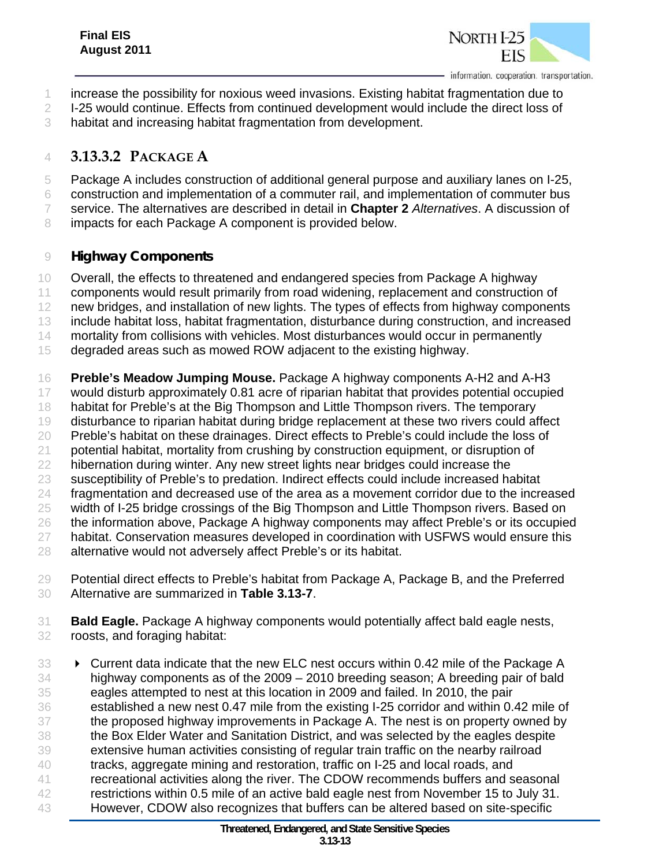

- increase the possibility for noxious weed invasions. Existing habitat fragmentation due to
- 2 I-25 would continue. Effects from continued development would include the direct loss of
- habitat and increasing habitat fragmentation from development.

# **3.13.3.2 PACKAGE A**

- Package A includes construction of additional general purpose and auxiliary lanes on I-25,
- construction and implementation of a commuter rail, and implementation of commuter bus
- service. The alternatives are described in detail in **Chapter 2** *Alternatives*. A discussion of
- 8 impacts for each Package A component is provided below.

#### *Highway Components*

- Overall, the effects to threatened and endangered species from Package A highway
- 11 components would result primarily from road widening, replacement and construction of
- 12 new bridges, and installation of new lights. The types of effects from highway components
- include habitat loss, habitat fragmentation, disturbance during construction, and increased
- mortality from collisions with vehicles. Most disturbances would occur in permanently
- degraded areas such as mowed ROW adjacent to the existing highway.

 **Preble's Meadow Jumping Mouse.** Package A highway components A-H2 and A-H3 would disturb approximately 0.81 acre of riparian habitat that provides potential occupied habitat for Preble's at the Big Thompson and Little Thompson rivers. The temporary disturbance to riparian habitat during bridge replacement at these two rivers could affect 20 Preble's habitat on these drainages. Direct effects to Preble's could include the loss of potential habitat, mortality from crushing by construction equipment, or disruption of hibernation during winter. Any new street lights near bridges could increase the susceptibility of Preble's to predation. Indirect effects could include increased habitat fragmentation and decreased use of the area as a movement corridor due to the increased width of I-25 bridge crossings of the Big Thompson and Little Thompson rivers. Based on the information above, Package A highway components may affect Preble's or its occupied habitat. Conservation measures developed in coordination with USFWS would ensure this 28 alternative would not adversely affect Preble's or its habitat.

- Potential direct effects to Preble's habitat from Package A, Package B, and the Preferred Alternative are summarized in **Table 3.13-7**.
- **Bald Eagle.** Package A highway components would potentially affect bald eagle nests, roosts, and foraging habitat:
- 33 > Current data indicate that the new ELC nest occurs within 0.42 mile of the Package A highway components as of the 2009 – 2010 breeding season; A breeding pair of bald eagles attempted to nest at this location in 2009 and failed. In 2010, the pair established a new nest 0.47 mile from the existing I-25 corridor and within 0.42 mile of the proposed highway improvements in Package A. The nest is on property owned by the Box Elder Water and Sanitation District, and was selected by the eagles despite extensive human activities consisting of regular train traffic on the nearby railroad tracks, aggregate mining and restoration, traffic on I-25 and local roads, and recreational activities along the river. The CDOW recommends buffers and seasonal restrictions within 0.5 mile of an active bald eagle nest from November 15 to July 31. However, CDOW also recognizes that buffers can be altered based on site-specific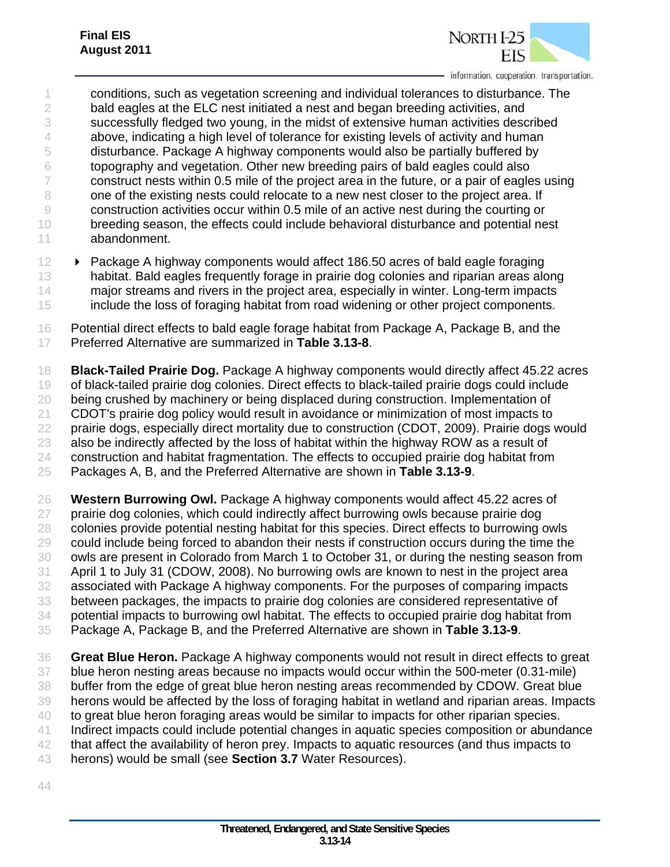

 conditions, such as vegetation screening and individual tolerances to disturbance. The 2 bald eagles at the ELC nest initiated a nest and began breeding activities, and successfully fledged two young, in the midst of extensive human activities described above, indicating a high level of tolerance for existing levels of activity and human disturbance. Package A highway components would also be partially buffered by topography and vegetation. Other new breeding pairs of bald eagles could also construct nests within 0.5 mile of the project area in the future, or a pair of eagles using 8 one of the existing nests could relocate to a new nest closer to the project area. If construction activities occur within 0.5 mile of an active nest during the courting or breeding season, the effects could include behavioral disturbance and potential nest abandonment.

- **Package A highway components would affect 186.50 acres of bald eagle foraging**  habitat. Bald eagles frequently forage in prairie dog colonies and riparian areas along major streams and rivers in the project area, especially in winter. Long-term impacts include the loss of foraging habitat from road widening or other project components.
- Potential direct effects to bald eagle forage habitat from Package A, Package B, and the Preferred Alternative are summarized in **Table 3.13-8**.

 **Black-Tailed Prairie Dog.** Package A highway components would directly affect 45.22 acres of black-tailed prairie dog colonies. Direct effects to black-tailed prairie dogs could include being crushed by machinery or being displaced during construction. Implementation of CDOT's prairie dog policy would result in avoidance or minimization of most impacts to prairie dogs, especially direct mortality due to construction (CDOT, 2009). Prairie dogs would also be indirectly affected by the loss of habitat within the highway ROW as a result of construction and habitat fragmentation. The effects to occupied prairie dog habitat from Packages A, B, and the Preferred Alternative are shown in **Table 3.13-9**.

 **Western Burrowing Owl.** Package A highway components would affect 45.22 acres of prairie dog colonies, which could indirectly affect burrowing owls because prairie dog colonies provide potential nesting habitat for this species. Direct effects to burrowing owls could include being forced to abandon their nests if construction occurs during the time the owls are present in Colorado from March 1 to October 31, or during the nesting season from April 1 to July 31 (CDOW, 2008). No burrowing owls are known to nest in the project area associated with Package A highway components. For the purposes of comparing impacts between packages, the impacts to prairie dog colonies are considered representative of potential impacts to burrowing owl habitat. The effects to occupied prairie dog habitat from Package A, Package B, and the Preferred Alternative are shown in **Table 3.13-9**.

- **Great Blue Heron.** Package A highway components would not result in direct effects to great blue heron nesting areas because no impacts would occur within the 500-meter (0.31-mile) buffer from the edge of great blue heron nesting areas recommended by CDOW. Great blue herons would be affected by the loss of foraging habitat in wetland and riparian areas. Impacts 40 to great blue heron foraging areas would be similar to impacts for other riparian species. Indirect impacts could include potential changes in aquatic species composition or abundance 42 that affect the availability of heron prey. Impacts to aquatic resources (and thus impacts to herons) would be small (see **Section 3.7** Water Resources).
-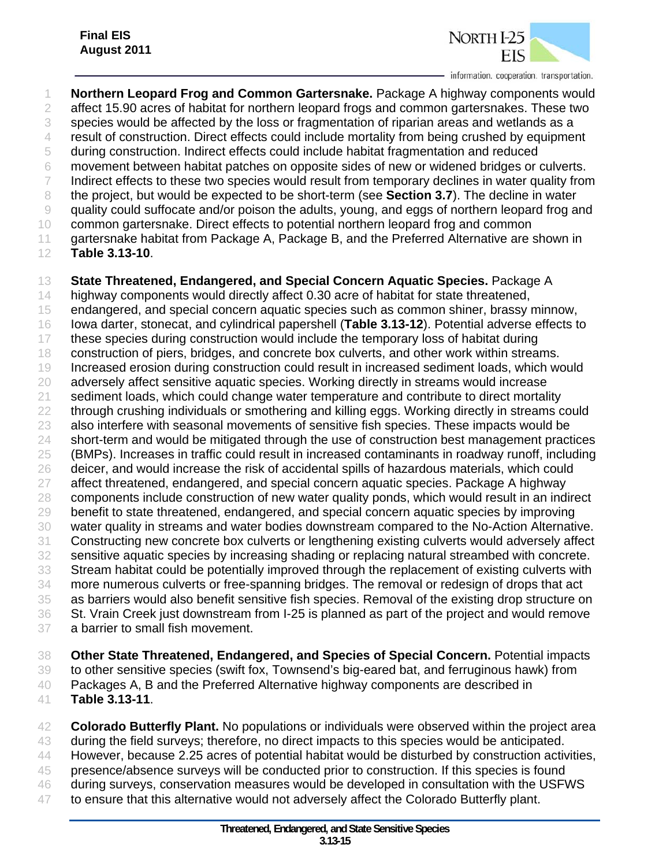

 **Northern Leopard Frog and Common Gartersnake.** Package A highway components would 2 affect 15.90 acres of habitat for northern leopard frogs and common gartersnakes. These two species would be affected by the loss or fragmentation of riparian areas and wetlands as a result of construction. Direct effects could include mortality from being crushed by equipment during construction. Indirect effects could include habitat fragmentation and reduced movement between habitat patches on opposite sides of new or widened bridges or culverts. 7 Indirect effects to these two species would result from temporary declines in water quality from the project, but would be expected to be short-term (see **Section 3.7**). The decline in water quality could suffocate and/or poison the adults, young, and eggs of northern leopard frog and common gartersnake. Direct effects to potential northern leopard frog and common 11 gartersnake habitat from Package A, Package B, and the Preferred Alternative are shown in **Table 3.13-10**. **State Threatened, Endangered, and Special Concern Aquatic Species.** Package A 14 highway components would directly affect 0.30 acre of habitat for state threatened, endangered, and special concern aquatic species such as common shiner, brassy minnow, Iowa darter, stonecat, and cylindrical papershell (**Table 3.13-12**). Potential adverse effects to these species during construction would include the temporary loss of habitat during construction of piers, bridges, and concrete box culverts, and other work within streams. Increased erosion during construction could result in increased sediment loads, which would adversely affect sensitive aquatic species. Working directly in streams would increase sediment loads, which could change water temperature and contribute to direct mortality 22 through crushing individuals or smothering and killing eggs. Working directly in streams could 23 also interfere with seasonal movements of sensitive fish species. These impacts would be 24 short-term and would be mitigated through the use of construction best management practices (BMPs). Increases in traffic could result in increased contaminants in roadway runoff, including 26 deicer, and would increase the risk of accidental spills of hazardous materials, which could affect threatened, endangered, and special concern aquatic species. Package A highway components include construction of new water quality ponds, which would result in an indirect benefit to state threatened, endangered, and special concern aquatic species by improving water quality in streams and water bodies downstream compared to the No-Action Alternative. Constructing new concrete box culverts or lengthening existing culverts would adversely affect sensitive aquatic species by increasing shading or replacing natural streambed with concrete. Stream habitat could be potentially improved through the replacement of existing culverts with

 more numerous culverts or free-spanning bridges. The removal or redesign of drops that act as barriers would also benefit sensitive fish species. Removal of the existing drop structure on St. Vrain Creek just downstream from I-25 is planned as part of the project and would remove a barrier to small fish movement.

 **Other State Threatened, Endangered, and Species of Special Concern.** Potential impacts to other sensitive species (swift fox, Townsend's big-eared bat, and ferruginous hawk) from Packages A, B and the Preferred Alternative highway components are described in **Table 3.13-11**.

 **Colorado Butterfly Plant.** No populations or individuals were observed within the project area during the field surveys; therefore, no direct impacts to this species would be anticipated. However, because 2.25 acres of potential habitat would be disturbed by construction activities, 45 presence/absence surveys will be conducted prior to construction. If this species is found during surveys, conservation measures would be developed in consultation with the USFWS to ensure that this alternative would not adversely affect the Colorado Butterfly plant.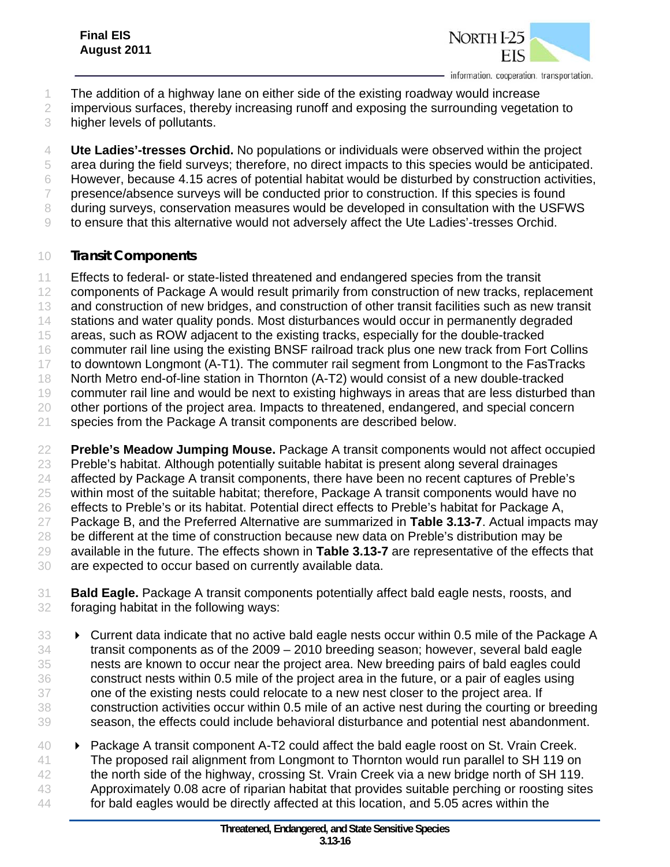

- The addition of a highway lane on either side of the existing roadway would increase
- 2 impervious surfaces, thereby increasing runoff and exposing the surrounding vegetation to
- higher levels of pollutants.
- **Ute Ladies'-tresses Orchid.** No populations or individuals were observed within the project
- area during the field surveys; therefore, no direct impacts to this species would be anticipated.
- However, because 4.15 acres of potential habitat would be disturbed by construction activities,
- 7 presence/absence surveys will be conducted prior to construction. If this species is found 8 during surveys, conservation measures would be developed in consultation with the USFWS
- to ensure that this alternative would not adversely affect the Ute Ladies'-tresses Orchid.

#### *Transit Components*

- Effects to federal- or state-listed threatened and endangered species from the transit
- 12 components of Package A would result primarily from construction of new tracks, replacement
- 13 and construction of new bridges, and construction of other transit facilities such as new transit
- stations and water quality ponds. Most disturbances would occur in permanently degraded
- areas, such as ROW adjacent to the existing tracks, especially for the double-tracked
- commuter rail line using the existing BNSF railroad track plus one new track from Fort Collins
- to downtown Longmont (A-T1). The commuter rail segment from Longmont to the FasTracks
- North Metro end-of-line station in Thornton (A-T2) would consist of a new double-tracked
- 19 commuter rail line and would be next to existing highways in areas that are less disturbed than
- other portions of the project area. Impacts to threatened, endangered, and special concern
- 21 species from the Package A transit components are described below.
- **Preble's Meadow Jumping Mouse.** Package A transit components would not affect occupied Preble's habitat. Although potentially suitable habitat is present along several drainages affected by Package A transit components, there have been no recent captures of Preble's within most of the suitable habitat; therefore, Package A transit components would have no effects to Preble's or its habitat. Potential direct effects to Preble's habitat for Package A, Package B, and the Preferred Alternative are summarized in **Table 3.13-7**. Actual impacts may 28 be different at the time of construction because new data on Preble's distribution may be available in the future. The effects shown in **Table 3.13-7** are representative of the effects that are expected to occur based on currently available data.
- **Bald Eagle.** Package A transit components potentially affect bald eagle nests, roosts, and foraging habitat in the following ways:
- **Current data indicate that no active bald eagle nests occur within 0.5 mile of the Package A**  transit components as of the 2009 – 2010 breeding season; however, several bald eagle nests are known to occur near the project area. New breeding pairs of bald eagles could construct nests within 0.5 mile of the project area in the future, or a pair of eagles using one of the existing nests could relocate to a new nest closer to the project area. If construction activities occur within 0.5 mile of an active nest during the courting or breeding season, the effects could include behavioral disturbance and potential nest abandonment.
- Package A transit component A-T2 could affect the bald eagle roost on St. Vrain Creek. The proposed rail alignment from Longmont to Thornton would run parallel to SH 119 on the north side of the highway, crossing St. Vrain Creek via a new bridge north of SH 119. Approximately 0.08 acre of riparian habitat that provides suitable perching or roosting sites for bald eagles would be directly affected at this location, and 5.05 acres within the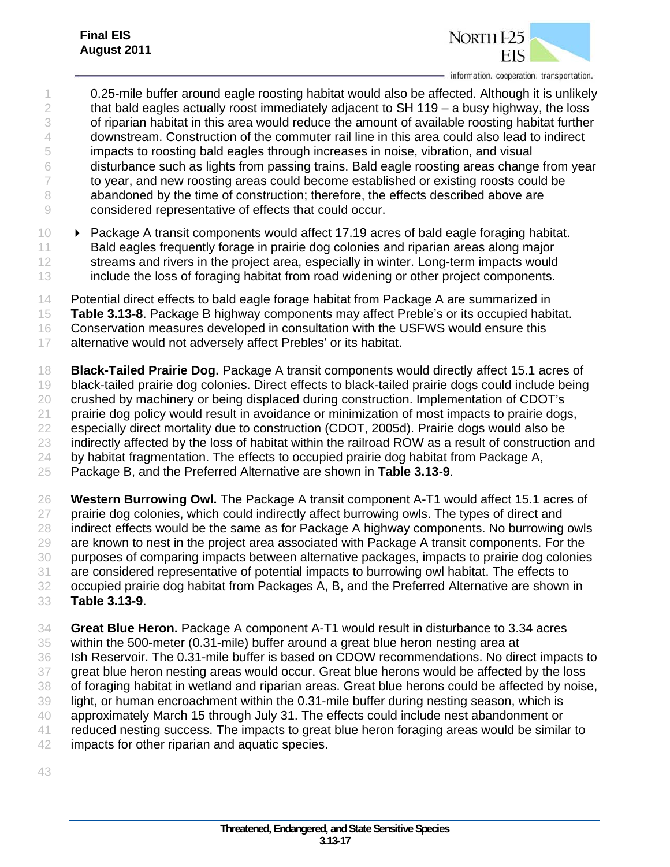

- 0.25-mile buffer around eagle roosting habitat would also be affected. Although it is unlikely 2 that bald eagles actually roost immediately adjacent to  $SH 119 - a$  busy highway, the loss of riparian habitat in this area would reduce the amount of available roosting habitat further downstream. Construction of the commuter rail line in this area could also lead to indirect impacts to roosting bald eagles through increases in noise, vibration, and visual disturbance such as lights from passing trains. Bald eagle roosting areas change from year 7 to year, and new roosting areas could become established or existing roosts could be 8 abandoned by the time of construction; therefore, the effects described above are considered representative of effects that could occur.
- Package A transit components would affect 17.19 acres of bald eagle foraging habitat. 11 Bald eagles frequently forage in prairie dog colonies and riparian areas along major 12 streams and rivers in the project area, especially in winter. Long-term impacts would include the loss of foraging habitat from road widening or other project components.
- Potential direct effects to bald eagle forage habitat from Package A are summarized in
- **Table 3.13-8**. Package B highway components may affect Preble's or its occupied habitat.
- Conservation measures developed in consultation with the USFWS would ensure this
- 17 alternative would not adversely affect Prebles' or its habitat.
- **Black-Tailed Prairie Dog.** Package A transit components would directly affect 15.1 acres of black-tailed prairie dog colonies. Direct effects to black-tailed prairie dogs could include being crushed by machinery or being displaced during construction. Implementation of CDOT's prairie dog policy would result in avoidance or minimization of most impacts to prairie dogs, especially direct mortality due to construction (CDOT, 2005d). Prairie dogs would also be indirectly affected by the loss of habitat within the railroad ROW as a result of construction and 24 by habitat fragmentation. The effects to occupied prairie dog habitat from Package A, Package B, and the Preferred Alternative are shown in **Table 3.13-9**.
- **Western Burrowing Owl.** The Package A transit component A-T1 would affect 15.1 acres of prairie dog colonies, which could indirectly affect burrowing owls. The types of direct and indirect effects would be the same as for Package A highway components. No burrowing owls are known to nest in the project area associated with Package A transit components. For the purposes of comparing impacts between alternative packages, impacts to prairie dog colonies are considered representative of potential impacts to burrowing owl habitat. The effects to occupied prairie dog habitat from Packages A, B, and the Preferred Alternative are shown in **Table 3.13-9**.
- **Great Blue Heron.** Package A component A-T1 would result in disturbance to 3.34 acres within the 500-meter (0.31-mile) buffer around a great blue heron nesting area at Ish Reservoir. The 0.31-mile buffer is based on CDOW recommendations. No direct impacts to 37 great blue heron nesting areas would occur. Great blue herons would be affected by the loss of foraging habitat in wetland and riparian areas. Great blue herons could be affected by noise, light, or human encroachment within the 0.31-mile buffer during nesting season, which is approximately March 15 through July 31. The effects could include nest abandonment or reduced nesting success. The impacts to great blue heron foraging areas would be similar to impacts for other riparian and aquatic species.
-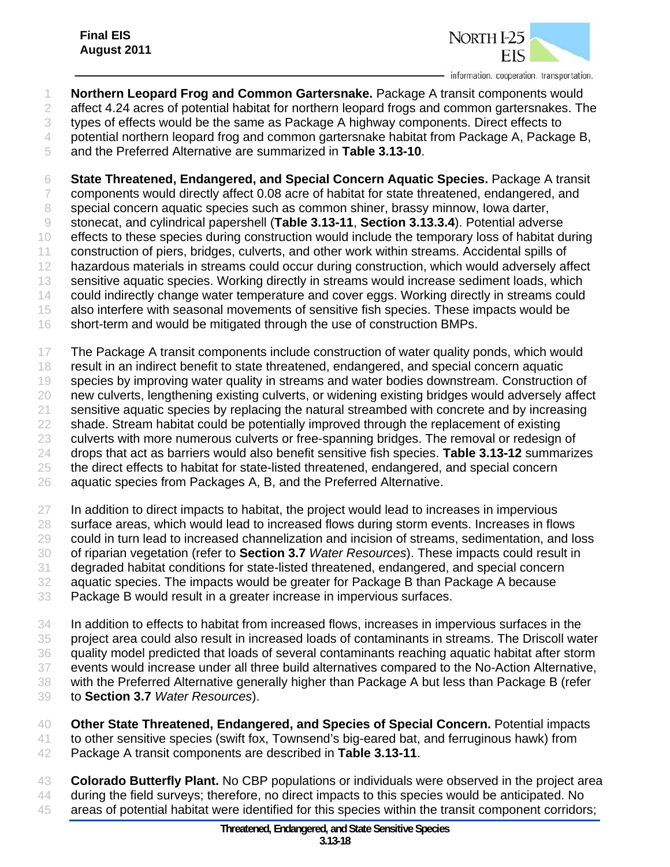

 **Northern Leopard Frog and Common Gartersnake.** Package A transit components would 2 affect 4.24 acres of potential habitat for northern leopard frogs and common gartersnakes. The types of effects would be the same as Package A highway components. Direct effects to potential northern leopard frog and common gartersnake habitat from Package A, Package B,

and the Preferred Alternative are summarized in **Table 3.13-10**.

 **State Threatened, Endangered, and Special Concern Aquatic Species.** Package A transit components would directly affect 0.08 acre of habitat for state threatened, endangered, and special concern aquatic species such as common shiner, brassy minnow, Iowa darter, stonecat, and cylindrical papershell (**Table 3.13-11**, **Section 3.13.3.4**). Potential adverse effects to these species during construction would include the temporary loss of habitat during construction of piers, bridges, culverts, and other work within streams. Accidental spills of hazardous materials in streams could occur during construction, which would adversely affect sensitive aquatic species. Working directly in streams would increase sediment loads, which 14 could indirectly change water temperature and cover eggs. Working directly in streams could also interfere with seasonal movements of sensitive fish species. These impacts would be short-term and would be mitigated through the use of construction BMPs.

 The Package A transit components include construction of water quality ponds, which would result in an indirect benefit to state threatened, endangered, and special concern aquatic 19 species by improving water quality in streams and water bodies downstream. Construction of new culverts, lengthening existing culverts, or widening existing bridges would adversely affect sensitive aquatic species by replacing the natural streambed with concrete and by increasing shade. Stream habitat could be potentially improved through the replacement of existing culverts with more numerous culverts or free-spanning bridges. The removal or redesign of drops that act as barriers would also benefit sensitive fish species. **Table 3.13-12** summarizes the direct effects to habitat for state-listed threatened, endangered, and special concern 26 aquatic species from Packages A, B, and the Preferred Alternative.

 In addition to direct impacts to habitat, the project would lead to increases in impervious 28 surface areas, which would lead to increased flows during storm events. Increases in flows could in turn lead to increased channelization and incision of streams, sedimentation, and loss of riparian vegetation (refer to **Section 3.7** *Water Resources*). These impacts could result in degraded habitat conditions for state-listed threatened, endangered, and special concern aquatic species. The impacts would be greater for Package B than Package A because Package B would result in a greater increase in impervious surfaces.

 In addition to effects to habitat from increased flows, increases in impervious surfaces in the project area could also result in increased loads of contaminants in streams. The Driscoll water quality model predicted that loads of several contaminants reaching aquatic habitat after storm events would increase under all three build alternatives compared to the No-Action Alternative, with the Preferred Alternative generally higher than Package A but less than Package B (refer to **Section 3.7** *Water Resources*).

 **Other State Threatened, Endangered, and Species of Special Concern.** Potential impacts to other sensitive species (swift fox, Townsend's big-eared bat, and ferruginous hawk) from Package A transit components are described in **Table 3.13-11**.

 **Colorado Butterfly Plant.** No CBP populations or individuals were observed in the project area 44 during the field surveys; therefore, no direct impacts to this species would be anticipated. No areas of potential habitat were identified for this species within the transit component corridors;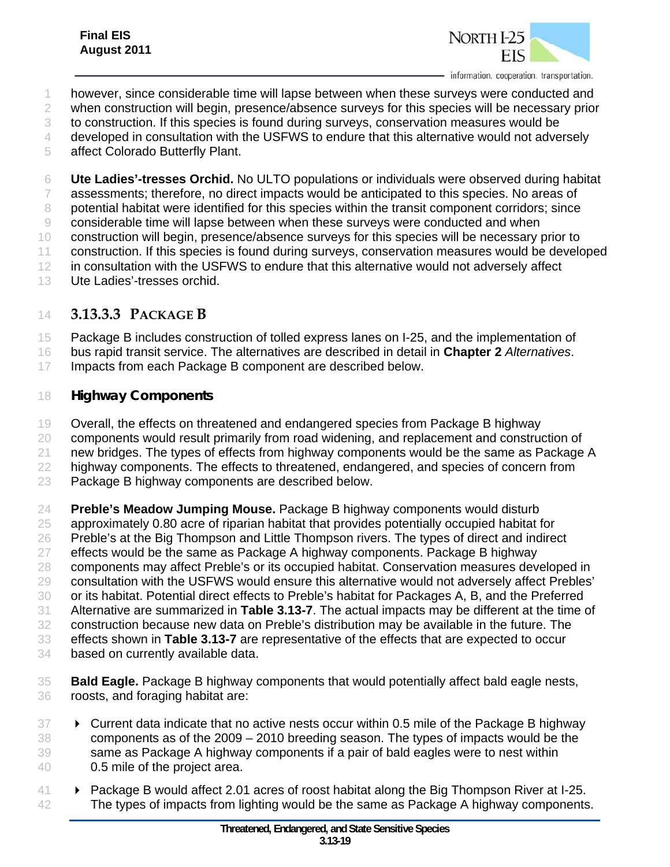

- however, since considerable time will lapse between when these surveys were conducted and
- when construction will begin, presence/absence surveys for this species will be necessary prior
- to construction. If this species is found during surveys, conservation measures would be
- 4 developed in consultation with the USFWS to endure that this alternative would not adversely
- affect Colorado Butterfly Plant.

 **Ute Ladies'-tresses Orchid.** No ULTO populations or individuals were observed during habitat assessments; therefore, no direct impacts would be anticipated to this species. No areas of potential habitat were identified for this species within the transit component corridors; since considerable time will lapse between when these surveys were conducted and when construction will begin, presence/absence surveys for this species will be necessary prior to construction. If this species is found during surveys, conservation measures would be developed 12 in consultation with the USFWS to endure that this alternative would not adversely affect Ute Ladies'-tresses orchid.

# **3.13.3.3 PACKAGE B**

Package B includes construction of tolled express lanes on I-25, and the implementation of

- bus rapid transit service. The alternatives are described in detail in **Chapter 2** *Alternatives*.
- 17 Impacts from each Package B component are described below.

#### *Highway Components*

 Overall, the effects on threatened and endangered species from Package B highway 20 components would result primarily from road widening, and replacement and construction of new bridges. The types of effects from highway components would be the same as Package A highway components. The effects to threatened, endangered, and species of concern from

Package B highway components are described below.

 **Preble's Meadow Jumping Mouse.** Package B highway components would disturb approximately 0.80 acre of riparian habitat that provides potentially occupied habitat for 26 Preble's at the Big Thompson and Little Thompson rivers. The types of direct and indirect effects would be the same as Package A highway components. Package B highway components may affect Preble's or its occupied habitat. Conservation measures developed in consultation with the USFWS would ensure this alternative would not adversely affect Prebles' or its habitat. Potential direct effects to Preble's habitat for Packages A, B, and the Preferred Alternative are summarized in **Table 3.13-7**. The actual impacts may be different at the time of construction because new data on Preble's distribution may be available in the future. The effects shown in **Table 3.13-7** are representative of the effects that are expected to occur

- based on currently available data.
- **Bald Eagle.** Package B highway components that would potentially affect bald eagle nests, roosts, and foraging habitat are:
- Current data indicate that no active nests occur within 0.5 mile of the Package B highway components as of the 2009 – 2010 breeding season. The types of impacts would be the 39 same as Package A highway components if a pair of bald eagles were to nest within 0.5 mile of the project area.
- **Package B would affect 2.01 acres of roost habitat along the Big Thompson River at I-25.** 42 The types of impacts from lighting would be the same as Package A highway components.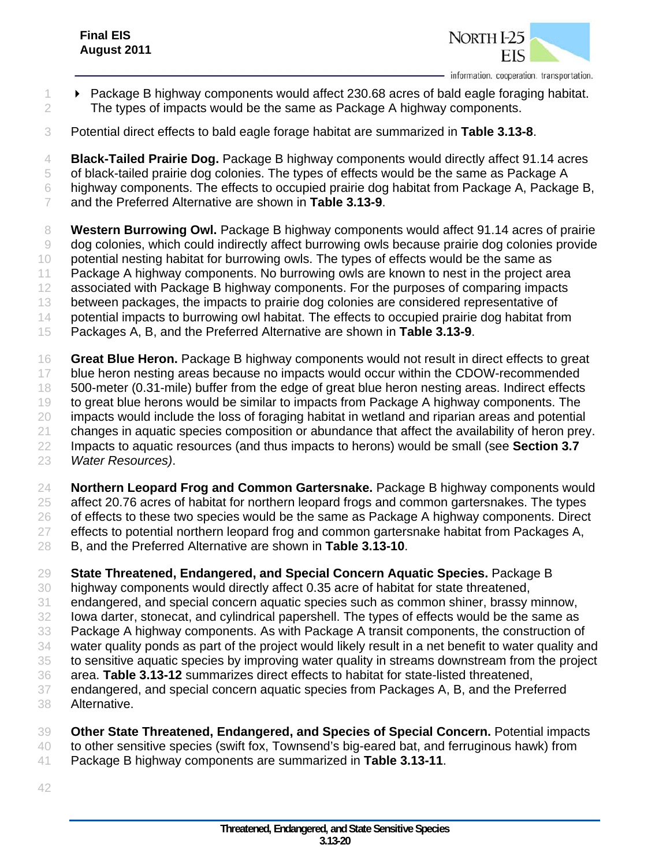

- 1  **Package B highway components would affect 230.68 acres of bald eagle foraging habitat.** 2 The types of impacts would be the same as Package A highway components.
- Potential direct effects to bald eagle forage habitat are summarized in **Table 3.13-8**.
- **Black-Tailed Prairie Dog.** Package B highway components would directly affect 91.14 acres
- of black-tailed prairie dog colonies. The types of effects would be the same as Package A
- highway components. The effects to occupied prairie dog habitat from Package A, Package B,
- and the Preferred Alternative are shown in **Table 3.13-9**.

 **Western Burrowing Owl.** Package B highway components would affect 91.14 acres of prairie dog colonies, which could indirectly affect burrowing owls because prairie dog colonies provide potential nesting habitat for burrowing owls. The types of effects would be the same as Package A highway components. No burrowing owls are known to nest in the project area associated with Package B highway components. For the purposes of comparing impacts between packages, the impacts to prairie dog colonies are considered representative of 14 potential impacts to burrowing owl habitat. The effects to occupied prairie dog habitat from Packages A, B, and the Preferred Alternative are shown in **Table 3.13-9**.

- **Great Blue Heron.** Package B highway components would not result in direct effects to great 17 blue heron nesting areas because no impacts would occur within the CDOW-recommended 500-meter (0.31-mile) buffer from the edge of great blue heron nesting areas. Indirect effects to great blue herons would be similar to impacts from Package A highway components. The impacts would include the loss of foraging habitat in wetland and riparian areas and potential changes in aquatic species composition or abundance that affect the availability of heron prey. Impacts to aquatic resources (and thus impacts to herons) would be small (see **Section 3.7** *Water Resources)*.
- **Northern Leopard Frog and Common Gartersnake.** Package B highway components would affect 20.76 acres of habitat for northern leopard frogs and common gartersnakes. The types of effects to these two species would be the same as Package A highway components. Direct effects to potential northern leopard frog and common gartersnake habitat from Packages A, B, and the Preferred Alternative are shown in **Table 3.13-10**.

 **State Threatened, Endangered, and Special Concern Aquatic Species.** Package B highway components would directly affect 0.35 acre of habitat for state threatened, endangered, and special concern aquatic species such as common shiner, brassy minnow, Iowa darter, stonecat, and cylindrical papershell. The types of effects would be the same as Package A highway components. As with Package A transit components, the construction of water quality ponds as part of the project would likely result in a net benefit to water quality and to sensitive aquatic species by improving water quality in streams downstream from the project area. **Table 3.13-12** summarizes direct effects to habitat for state-listed threatened, endangered, and special concern aquatic species from Packages A, B, and the Preferred Alternative.

- **Other State Threatened, Endangered, and Species of Special Concern.** Potential impacts to other sensitive species (swift fox, Townsend's big-eared bat, and ferruginous hawk) from
- Package B highway components are summarized in **Table 3.13-11**.
-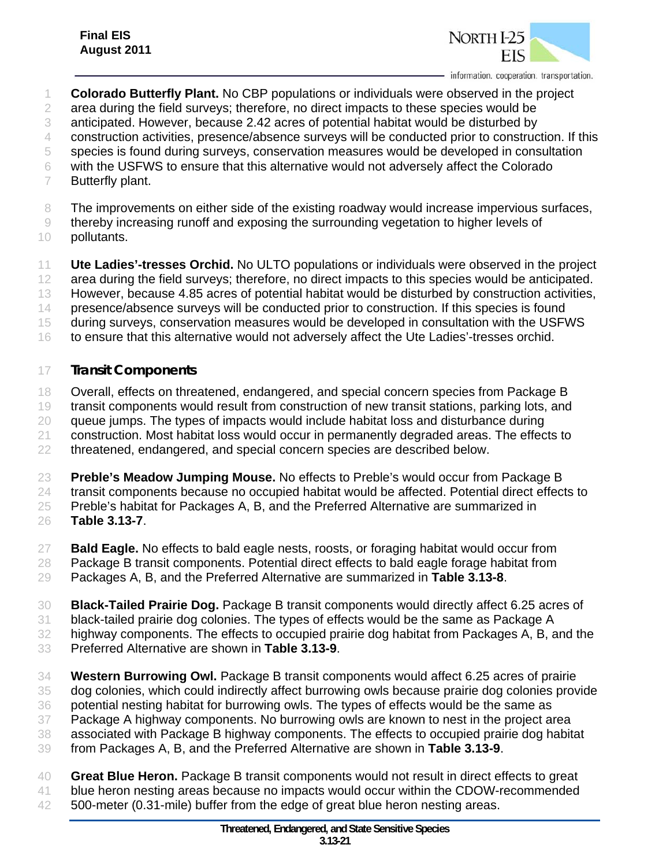

- **Colorado Butterfly Plant.** No CBP populations or individuals were observed in the project
- 2 area during the field surveys; therefore, no direct impacts to these species would be
- anticipated. However, because 2.42 acres of potential habitat would be disturbed by
- construction activities, presence/absence surveys will be conducted prior to construction. If this
- species is found during surveys, conservation measures would be developed in consultation
- with the USFWS to ensure that this alternative would not adversely affect the Colorado
- Butterfly plant.
- The improvements on either side of the existing roadway would increase impervious surfaces,
- thereby increasing runoff and exposing the surrounding vegetation to higher levels of
- pollutants.
- **Ute Ladies'-tresses Orchid.** No ULTO populations or individuals were observed in the project area during the field surveys; therefore, no direct impacts to this species would be anticipated.
- However, because 4.85 acres of potential habitat would be disturbed by construction activities,
- presence/absence surveys will be conducted prior to construction. If this species is found
- during surveys, conservation measures would be developed in consultation with the USFWS
- 16 to ensure that this alternative would not adversely affect the Ute Ladies'-tresses orchid.

#### *Transit Components*

- Overall, effects on threatened, endangered, and special concern species from Package B
- transit components would result from construction of new transit stations, parking lots, and
- queue jumps. The types of impacts would include habitat loss and disturbance during
- construction. Most habitat loss would occur in permanently degraded areas. The effects to
- 22 threatened, endangered, and special concern species are described below.
- **Preble's Meadow Jumping Mouse.** No effects to Preble's would occur from Package B transit components because no occupied habitat would be affected. Potential direct effects to Preble's habitat for Packages A, B, and the Preferred Alternative are summarized in
- **Table 3.13-7**.
- **Bald Eagle.** No effects to bald eagle nests, roosts, or foraging habitat would occur from
- Package B transit components. Potential direct effects to bald eagle forage habitat from
- Packages A, B, and the Preferred Alternative are summarized in **Table 3.13-8**.
- **Black-Tailed Prairie Dog.** Package B transit components would directly affect 6.25 acres of
- black-tailed prairie dog colonies. The types of effects would be the same as Package A
- highway components. The effects to occupied prairie dog habitat from Packages A, B, and the
- Preferred Alternative are shown in **Table 3.13-9**.
- **Western Burrowing Owl.** Package B transit components would affect 6.25 acres of prairie dog colonies, which could indirectly affect burrowing owls because prairie dog colonies provide potential nesting habitat for burrowing owls. The types of effects would be the same as Package A highway components. No burrowing owls are known to nest in the project area associated with Package B highway components. The effects to occupied prairie dog habitat from Packages A, B, and the Preferred Alternative are shown in **Table 3.13-9**.
- **Great Blue Heron.** Package B transit components would not result in direct effects to great
- blue heron nesting areas because no impacts would occur within the CDOW-recommended
- 500-meter (0.31-mile) buffer from the edge of great blue heron nesting areas.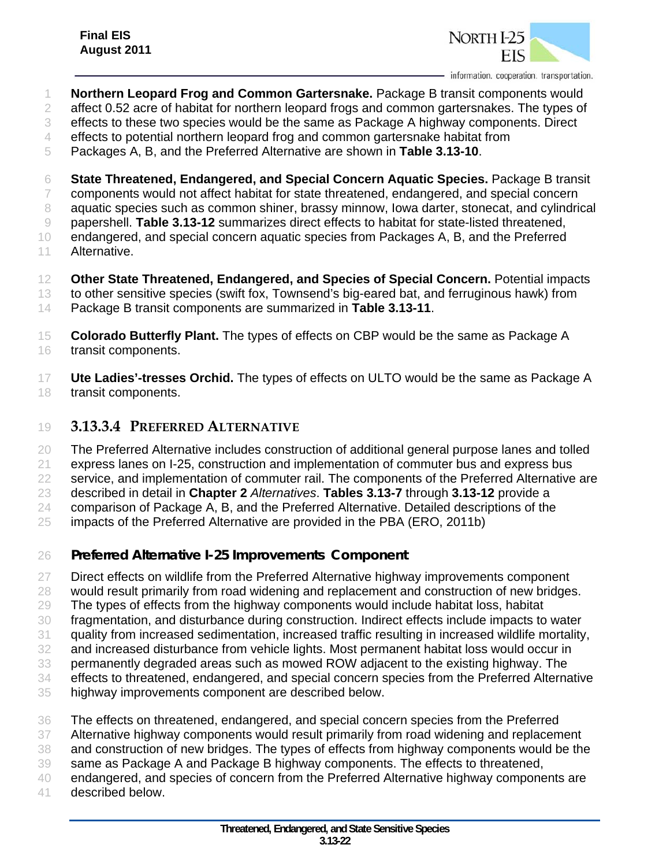

- **Northern Leopard Frog and Common Gartersnake.** Package B transit components would 2 affect 0.52 acre of habitat for northern leopard frogs and common gartersnakes. The types of
- effects to these two species would be the same as Package A highway components. Direct
- effects to potential northern leopard frog and common gartersnake habitat from
- Packages A, B, and the Preferred Alternative are shown in **Table 3.13-10**.
- **State Threatened, Endangered, and Special Concern Aquatic Species.** Package B transit components would not affect habitat for state threatened, endangered, and special concern aquatic species such as common shiner, brassy minnow, Iowa darter, stonecat, and cylindrical papershell. **Table 3.13-12** summarizes direct effects to habitat for state-listed threatened, endangered, and special concern aquatic species from Packages A, B, and the Preferred
- Alternative.
- **Other State Threatened, Endangered, and Species of Special Concern.** Potential impacts to other sensitive species (swift fox, Townsend's big-eared bat, and ferruginous hawk) from Package B transit components are summarized in **Table 3.13-11**.
- **Colorado Butterfly Plant.** The types of effects on CBP would be the same as Package A transit components.
- **Ute Ladies'-tresses Orchid.** The types of effects on ULTO would be the same as Package A transit components.
- **3.13.3.4 PREFERRED ALTERNATIVE**
- The Preferred Alternative includes construction of additional general purpose lanes and tolled
- express lanes on I-25, construction and implementation of commuter bus and express bus
- service, and implementation of commuter rail. The components of the Preferred Alternative are
- described in detail in **Chapter 2** *Alternatives*. **Tables 3.13-7** through **3.13-12** provide a
- comparison of Package A, B, and the Preferred Alternative. Detailed descriptions of the
- impacts of the Preferred Alternative are provided in the PBA (ERO, 2011b)
- *Preferred Alternative I-25 Improvements Component*
- Direct effects on wildlife from the Preferred Alternative highway improvements component
- would result primarily from road widening and replacement and construction of new bridges.
- The types of effects from the highway components would include habitat loss, habitat
- fragmentation, and disturbance during construction. Indirect effects include impacts to water
- quality from increased sedimentation, increased traffic resulting in increased wildlife mortality,
- and increased disturbance from vehicle lights. Most permanent habitat loss would occur in
- permanently degraded areas such as mowed ROW adjacent to the existing highway. The
- effects to threatened, endangered, and special concern species from the Preferred Alternative
- highway improvements component are described below.
- The effects on threatened, endangered, and special concern species from the Preferred
- Alternative highway components would result primarily from road widening and replacement
- and construction of new bridges. The types of effects from highway components would be the
- same as Package A and Package B highway components. The effects to threatened,
- endangered, and species of concern from the Preferred Alternative highway components are
- described below.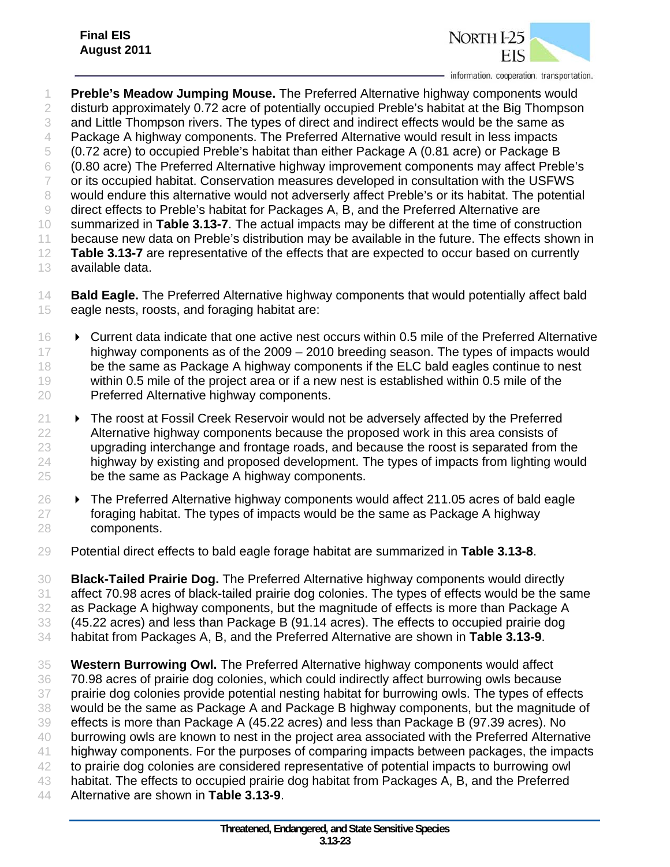

 **Preble's Meadow Jumping Mouse.** The Preferred Alternative highway components would 2 disturb approximately 0.72 acre of potentially occupied Preble's habitat at the Big Thompson and Little Thompson rivers. The types of direct and indirect effects would be the same as 4 Package A highway components. The Preferred Alternative would result in less impacts (0.72 acre) to occupied Preble's habitat than either Package A (0.81 acre) or Package B (0.80 acre) The Preferred Alternative highway improvement components may affect Preble's or its occupied habitat. Conservation measures developed in consultation with the USFWS 8 would endure this alternative would not adverserly affect Preble's or its habitat. The potential direct effects to Preble's habitat for Packages A, B, and the Preferred Alternative are summarized in **Table 3.13-7**. The actual impacts may be different at the time of construction because new data on Preble's distribution may be available in the future. The effects shown in **Table 3.13-7** are representative of the effects that are expected to occur based on currently available data.

- **Bald Eagle.** The Preferred Alternative highway components that would potentially affect bald eagle nests, roosts, and foraging habitat are:
- **Current data indicate that one active nest occurs within 0.5 mile of the Preferred Alternative** 17 highway components as of the 2009 – 2010 breeding season. The types of impacts would 18 be the same as Package A highway components if the ELC bald eagles continue to nest within 0.5 mile of the project area or if a new nest is established within 0.5 mile of the Preferred Alternative highway components.
- The roost at Fossil Creek Reservoir would not be adversely affected by the Preferred Alternative highway components because the proposed work in this area consists of upgrading interchange and frontage roads, and because the roost is separated from the highway by existing and proposed development. The types of impacts from lighting would be the same as Package A highway components.
- $26 \rightarrow$  The Preferred Alternative highway components would affect 211.05 acres of bald eagle foraging habitat. The types of impacts would be the same as Package A highway components.
- Potential direct effects to bald eagle forage habitat are summarized in **Table 3.13-8**.

 **Black-Tailed Prairie Dog.** The Preferred Alternative highway components would directly affect 70.98 acres of black-tailed prairie dog colonies. The types of effects would be the same as Package A highway components, but the magnitude of effects is more than Package A (45.22 acres) and less than Package B (91.14 acres). The effects to occupied prairie dog habitat from Packages A, B, and the Preferred Alternative are shown in **Table 3.13-9**.

 **Western Burrowing Owl.** The Preferred Alternative highway components would affect 70.98 acres of prairie dog colonies, which could indirectly affect burrowing owls because prairie dog colonies provide potential nesting habitat for burrowing owls. The types of effects would be the same as Package A and Package B highway components, but the magnitude of effects is more than Package A (45.22 acres) and less than Package B (97.39 acres). No burrowing owls are known to nest in the project area associated with the Preferred Alternative highway components. For the purposes of comparing impacts between packages, the impacts 42 to prairie dog colonies are considered representative of potential impacts to burrowing owl habitat. The effects to occupied prairie dog habitat from Packages A, B, and the Preferred Alternative are shown in **Table 3.13-9**.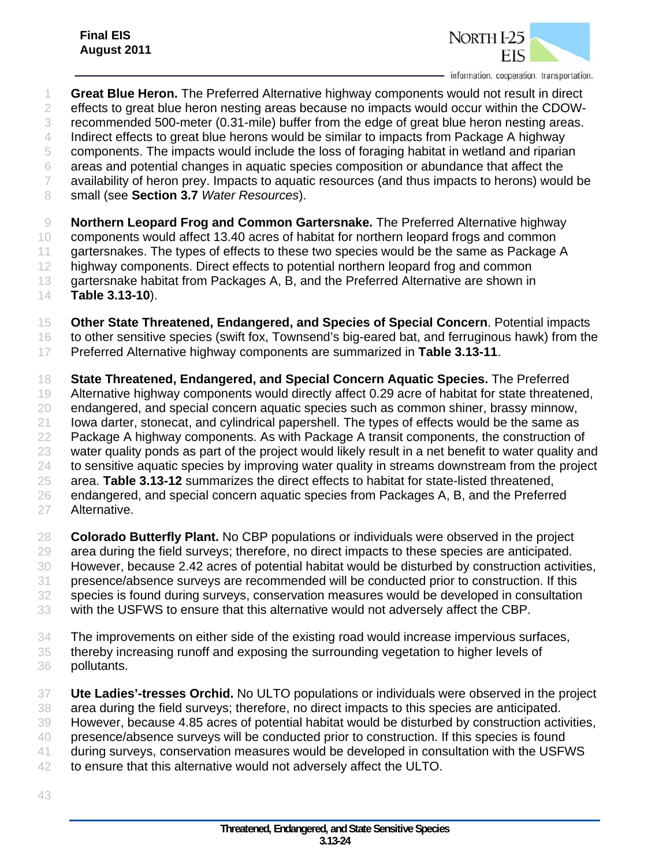

- **Great Blue Heron.** The Preferred Alternative highway components would not result in direct effects to great blue heron nesting areas because no impacts would occur within the CDOW- recommended 500-meter (0.31-mile) buffer from the edge of great blue heron nesting areas. Indirect effects to great blue herons would be similar to impacts from Package A highway components. The impacts would include the loss of foraging habitat in wetland and riparian areas and potential changes in aquatic species composition or abundance that affect the availability of heron prey. Impacts to aquatic resources (and thus impacts to herons) would be small (see **Section 3.7** *Water Resources*). **Northern Leopard Frog and Common Gartersnake.** The Preferred Alternative highway components would affect 13.40 acres of habitat for northern leopard frogs and common gartersnakes. The types of effects to these two species would be the same as Package A 12 highway components. Direct effects to potential northern leopard frog and common 13 gartersnake habitat from Packages A, B, and the Preferred Alternative are shown in **Table 3.13-10**). **Other State Threatened, Endangered, and Species of Special Concern**. Potential impacts 16 to other sensitive species (swift fox, Townsend's big-eared bat, and ferruginous hawk) from the Preferred Alternative highway components are summarized in **Table 3.13-11**. **State Threatened, Endangered, and Special Concern Aquatic Species.** The Preferred Alternative highway components would directly affect 0.29 acre of habitat for state threatened, endangered, and special concern aquatic species such as common shiner, brassy minnow, Iowa darter, stonecat, and cylindrical papershell. The types of effects would be the same as Package A highway components. As with Package A transit components, the construction of water quality ponds as part of the project would likely result in a net benefit to water quality and to sensitive aquatic species by improving water quality in streams downstream from the project area. **Table 3.13-12** summarizes the direct effects to habitat for state-listed threatened, endangered, and special concern aquatic species from Packages A, B, and the Preferred Alternative.
- **Colorado Butterfly Plant.** No CBP populations or individuals were observed in the project area during the field surveys; therefore, no direct impacts to these species are anticipated. However, because 2.42 acres of potential habitat would be disturbed by construction activities, presence/absence surveys are recommended will be conducted prior to construction. If this species is found during surveys, conservation measures would be developed in consultation with the USFWS to ensure that this alternative would not adversely affect the CBP.
- The improvements on either side of the existing road would increase impervious surfaces, thereby increasing runoff and exposing the surrounding vegetation to higher levels of
- pollutants.
- **Ute Ladies'-tresses Orchid.** No ULTO populations or individuals were observed in the project area during the field surveys; therefore, no direct impacts to this species are anticipated. However, because 4.85 acres of potential habitat would be disturbed by construction activities, presence/absence surveys will be conducted prior to construction. If this species is found during surveys, conservation measures would be developed in consultation with the USFWS to ensure that this alternative would not adversely affect the ULTO.
-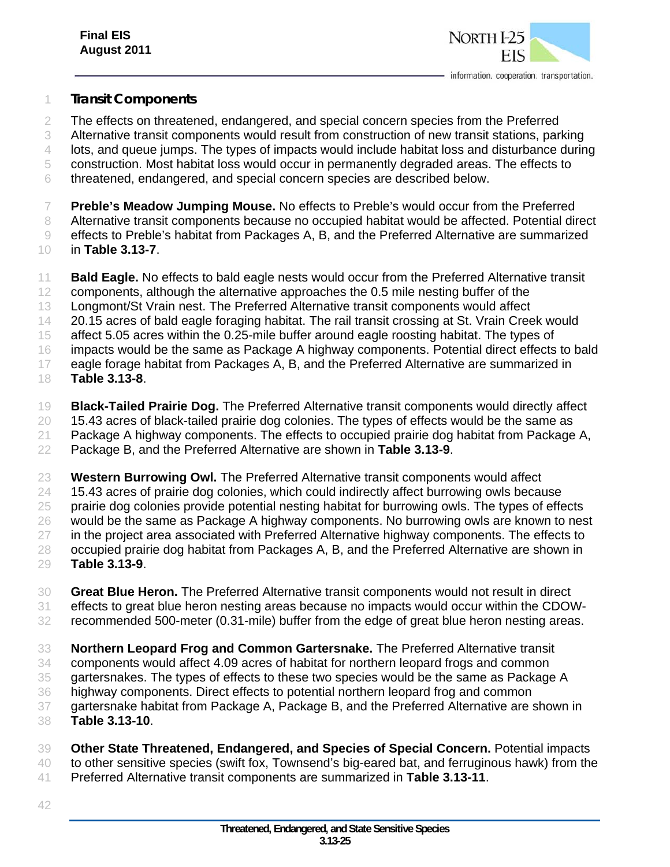

#### *Transit Components*

- The effects on threatened, endangered, and special concern species from the Preferred Alternative transit components would result from construction of new transit stations, parking lots, and queue jumps. The types of impacts would include habitat loss and disturbance during
- construction. Most habitat loss would occur in permanently degraded areas. The effects to
- threatened, endangered, and special concern species are described below.
- **Preble's Meadow Jumping Mouse.** No effects to Preble's would occur from the Preferred Alternative transit components because no occupied habitat would be affected. Potential direct
- effects to Preble's habitat from Packages A, B, and the Preferred Alternative are summarized
- in **Table 3.13-7**.
- **Bald Eagle.** No effects to bald eagle nests would occur from the Preferred Alternative transit components, although the alternative approaches the 0.5 mile nesting buffer of the Longmont/St Vrain nest. The Preferred Alternative transit components would affect 20.15 acres of bald eagle foraging habitat. The rail transit crossing at St. Vrain Creek would affect 5.05 acres within the 0.25-mile buffer around eagle roosting habitat. The types of impacts would be the same as Package A highway components. Potential direct effects to bald 17 eagle forage habitat from Packages A, B, and the Preferred Alternative are summarized in **Table 3.13-8**.
- **Black-Tailed Prairie Dog.** The Preferred Alternative transit components would directly affect 15.43 acres of black-tailed prairie dog colonies. The types of effects would be the same as Package A highway components. The effects to occupied prairie dog habitat from Package A, Package B, and the Preferred Alternative are shown in **Table 3.13-9**.
- **Western Burrowing Owl.** The Preferred Alternative transit components would affect 24 15.43 acres of prairie dog colonies, which could indirectly affect burrowing owls because 25 prairie dog colonies provide potential nesting habitat for burrowing owls. The types of effects would be the same as Package A highway components. No burrowing owls are known to nest 27 in the project area associated with Preferred Alternative highway components. The effects to occupied prairie dog habitat from Packages A, B, and the Preferred Alternative are shown in **Table 3.13-9**.
- **Great Blue Heron.** The Preferred Alternative transit components would not result in direct effects to great blue heron nesting areas because no impacts would occur within the CDOW-recommended 500-meter (0.31-mile) buffer from the edge of great blue heron nesting areas.
- **Northern Leopard Frog and Common Gartersnake.** The Preferred Alternative transit
- components would affect 4.09 acres of habitat for northern leopard frogs and common
- gartersnakes. The types of effects to these two species would be the same as Package A
- highway components. Direct effects to potential northern leopard frog and common
- gartersnake habitat from Package A, Package B, and the Preferred Alternative are shown in **Table 3.13-10**.
- **Other State Threatened, Endangered, and Species of Special Concern.** Potential impacts
- to other sensitive species (swift fox, Townsend's big-eared bat, and ferruginous hawk) from the
- Preferred Alternative transit components are summarized in **Table 3.13-11**.
-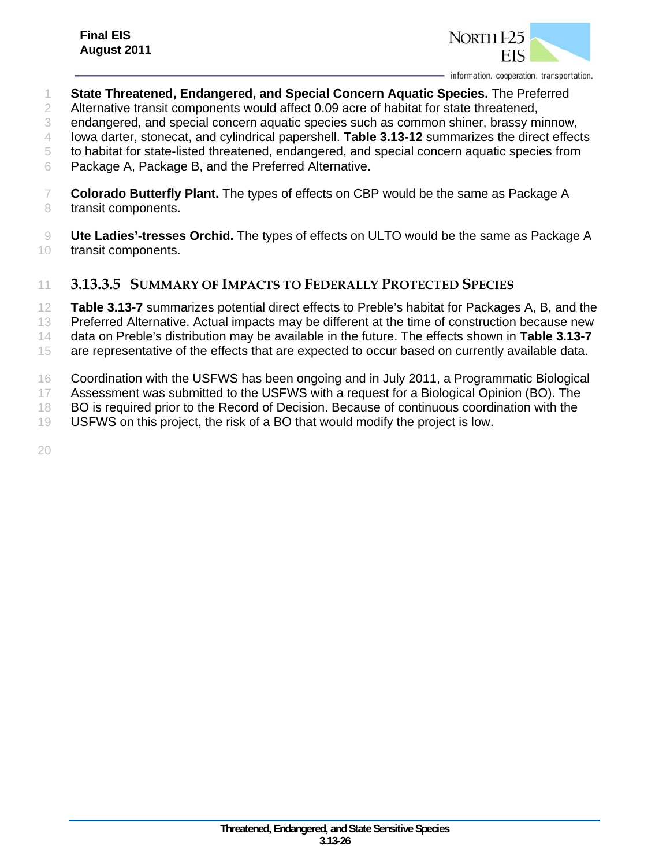

- **State Threatened, Endangered, and Special Concern Aquatic Species.** The Preferred
- 2 Alternative transit components would affect 0.09 acre of habitat for state threatened,
- endangered, and special concern aquatic species such as common shiner, brassy minnow,

Iowa darter, stonecat, and cylindrical papershell. **Table 3.13-12** summarizes the direct effects

- to habitat for state-listed threatened, endangered, and special concern aquatic species from
- Package A, Package B, and the Preferred Alternative.
- **Colorado Butterfly Plant.** The types of effects on CBP would be the same as Package A 8 transit components.
- **Ute Ladies'-tresses Orchid.** The types of effects on ULTO would be the same as Package A transit components.

#### **3.13.3.5 SUMMARY OF IMPACTS TO FEDERALLY PROTECTED SPECIES**

**Table 3.13-7** summarizes potential direct effects to Preble's habitat for Packages A, B, and the

- Preferred Alternative. Actual impacts may be different at the time of construction because new
- data on Preble's distribution may be available in the future. The effects shown in **Table 3.13-7**
- 15 are representative of the effects that are expected to occur based on currently available data.
- Coordination with the USFWS has been ongoing and in July 2011, a Programmatic Biological
- Assessment was submitted to the USFWS with a request for a Biological Opinion (BO). The
- 18 BO is required prior to the Record of Decision. Because of continuous coordination with the
- USFWS on this project, the risk of a BO that would modify the project is low.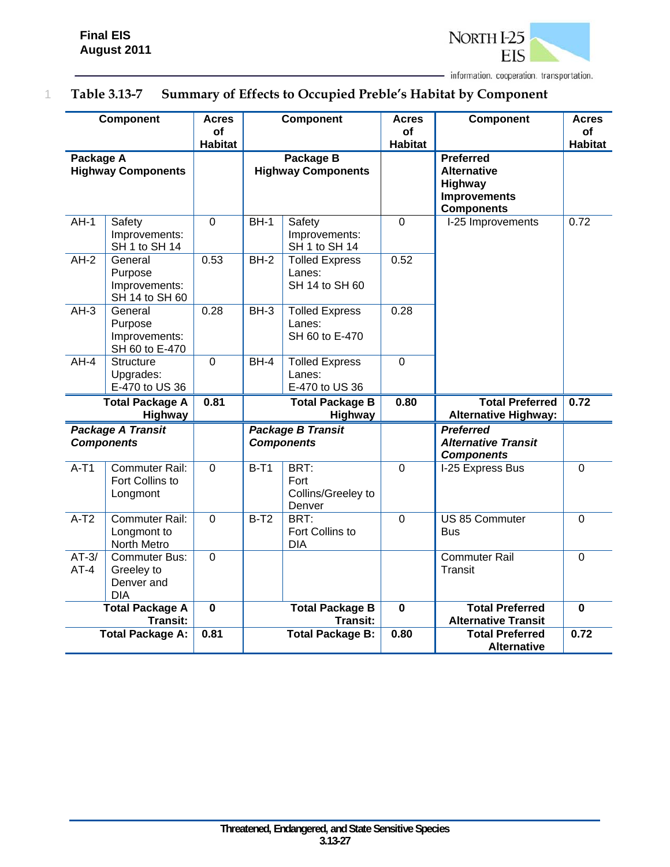

# 1 **Table 3.13-7 Summary of Effects to Occupied Preble's Habitat by Component**

|                   | Component                                                      | <b>Acres</b><br><b>of</b><br><b>Habitat</b> |                                        | Component                                         | <b>Acres</b><br><b>of</b><br><b>Habitat</b> | Component                                                                                     | <b>Acres</b><br>Οf<br><b>Habitat</b> |
|-------------------|----------------------------------------------------------------|---------------------------------------------|----------------------------------------|---------------------------------------------------|---------------------------------------------|-----------------------------------------------------------------------------------------------|--------------------------------------|
| Package A         | <b>Highway Components</b>                                      |                                             | Package B<br><b>Highway Components</b> |                                                   |                                             | <b>Preferred</b><br><b>Alternative</b><br>Highway<br><b>Improvements</b><br><b>Components</b> |                                      |
| $AH-1$            | Safety<br>Improvements:<br>SH 1 to SH 14                       | $\overline{0}$                              | $BH-1$                                 | Safety<br>Improvements:<br>SH 1 to SH 14          | $\Omega$                                    | I-25 Improvements                                                                             | 0.72                                 |
| $AH-2$            | General<br>Purpose<br>Improvements:<br>SH 14 to SH 60          | 0.53                                        | $BH-2$                                 | <b>Tolled Express</b><br>Lanes:<br>SH 14 to SH 60 | 0.52                                        |                                                                                               |                                      |
| $AH-3$            | General<br>Purpose<br>Improvements:<br>SH 60 to E-470          | 0.28                                        | $BH-3$                                 | <b>Tolled Express</b><br>Lanes:<br>SH 60 to E-470 | 0.28                                        |                                                                                               |                                      |
| $AH-4$            | <b>Structure</b><br>Upgrades:<br>E-470 to US 36                | $\mathbf 0$                                 | $BH-4$                                 | <b>Tolled Express</b><br>Lanes:<br>E-470 to US 36 | $\overline{0}$                              |                                                                                               |                                      |
|                   | <b>Total Package A</b><br>Highway                              | 0.81                                        |                                        | <b>Total Package B</b><br>Highway                 | 0.80                                        | <b>Total Preferred</b><br><b>Alternative Highway:</b>                                         | 0.72                                 |
|                   | <b>Package A Transit</b><br><b>Components</b>                  |                                             |                                        | <b>Package B Transit</b><br><b>Components</b>     |                                             | <b>Preferred</b><br><b>Alternative Transit</b><br><b>Components</b>                           |                                      |
| $A-T1$            | Commuter Rail:<br>Fort Collins to<br>Longmont                  | $\overline{0}$                              | $B-T1$                                 | BRT:<br>Fort<br>Collins/Greeley to<br>Denver      | $\mathbf 0$                                 | I-25 Express Bus                                                                              | $\overline{0}$                       |
| $A-T2$            | <b>Commuter Rail:</b><br>Longmont to<br>North Metro            | $\overline{0}$                              | $B-T2$                                 | BRT:<br>Fort Collins to<br><b>DIA</b>             | $\mathbf 0$                                 | US 85 Commuter<br><b>Bus</b>                                                                  | $\overline{0}$                       |
| $AT-3/$<br>$AT-4$ | <b>Commuter Bus:</b><br>Greeley to<br>Denver and<br><b>DIA</b> | $\overline{0}$                              |                                        |                                                   |                                             | <b>Commuter Rail</b><br><b>Transit</b>                                                        | $\overline{0}$                       |
|                   | <b>Total Package A</b><br><b>Transit:</b>                      | $\overline{\mathbf{0}}$                     |                                        | <b>Total Package B</b><br><b>Transit:</b>         | $\overline{\mathbf{0}}$                     | <b>Total Preferred</b><br><b>Alternative Transit</b>                                          | $\overline{\mathbf{0}}$              |
|                   | <b>Total Package A:</b>                                        | 0.81                                        |                                        | <b>Total Package B:</b>                           | 0.80                                        | <b>Total Preferred</b><br><b>Alternative</b>                                                  | 0.72                                 |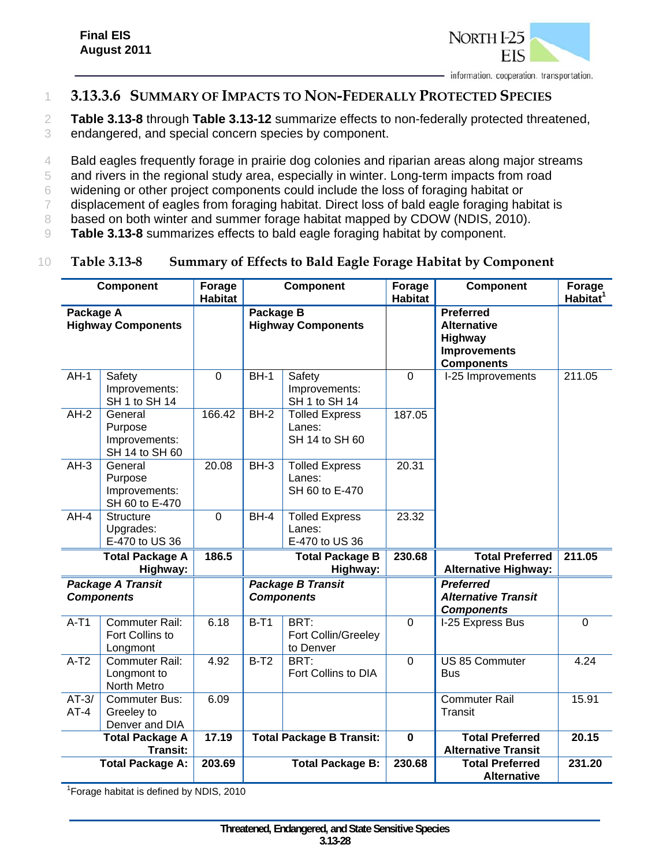

### 1 **3.13.3.6 SUMMARY OF IMPACTS TO NON-FEDERALLY PROTECTED SPECIES**

2 **Table 3.13-8** through **Table 3.13-12** summarize effects to non-federally protected threatened,

- 3 endangered, and special concern species by component.
- 4 Bald eagles frequently forage in prairie dog colonies and riparian areas along major streams
- 5 and rivers in the regional study area, especially in winter. Long-term impacts from road
- 6 widening or other project components could include the loss of foraging habitat or
- 7 displacement of eagles from foraging habitat. Direct loss of bald eagle foraging habitat is
- 8 based on both winter and summer forage habitat mapped by CDOW (NDIS, 2010).
- 9 **Table 3.13-8** summarizes effects to bald eagle foraging habitat by component.

#### 10 **Table 3.13-8 Summary of Effects to Bald Eagle Forage Habitat by Component**

|                   | <b>Component</b>                                      | Forage<br><b>Habitat</b> |                                        | <b>Component</b>                                  | Forage<br><b>Habitat</b> | <b>Component</b>                                                                              | Forage<br>Habitat <sup>1</sup> |
|-------------------|-------------------------------------------------------|--------------------------|----------------------------------------|---------------------------------------------------|--------------------------|-----------------------------------------------------------------------------------------------|--------------------------------|
| Package A         | <b>Highway Components</b>                             |                          | Package B<br><b>Highway Components</b> |                                                   |                          | <b>Preferred</b><br><b>Alternative</b><br>Highway<br><b>Improvements</b><br><b>Components</b> |                                |
| $AH-1$            | Safety<br>Improvements:<br>SH 1 to SH 14              | $\overline{0}$           | $BH-1$                                 | Safety<br>Improvements:<br>SH 1 to SH 14          | $\overline{0}$           | I-25 Improvements                                                                             | 211.05                         |
| $AH-2$            | General<br>Purpose<br>Improvements:<br>SH 14 to SH 60 | 166.42                   | $BH-2$                                 | <b>Tolled Express</b><br>Lanes:<br>SH 14 to SH 60 | 187.05                   |                                                                                               |                                |
| $AH-3$            | General<br>Purpose<br>Improvements:<br>SH 60 to E-470 | 20.08                    | $BH-3$                                 | <b>Tolled Express</b><br>Lanes:<br>SH 60 to E-470 | 20.31                    |                                                                                               |                                |
| $AH-4$            | <b>Structure</b><br>Upgrades:<br>E-470 to US 36       | $\mathbf 0$              | $BH-4$                                 | <b>Tolled Express</b><br>Lanes:<br>E-470 to US 36 | 23.32                    |                                                                                               |                                |
|                   | <b>Total Package A</b><br>Highway:                    | 186.5                    |                                        | <b>Total Package B</b><br>Highway:                | 230.68                   | <b>Total Preferred</b><br><b>Alternative Highway:</b>                                         | 211.05                         |
|                   | <b>Package A Transit</b><br><b>Components</b>         |                          |                                        | <b>Package B Transit</b><br><b>Components</b>     |                          | <b>Preferred</b><br><b>Alternative Transit</b><br><b>Components</b>                           |                                |
| $A-T1$            | Commuter Rail:<br>Fort Collins to<br>Longmont         | 6.18                     | $B-T1$                                 | BRT:<br>Fort Collin/Greeley<br>to Denver          | $\overline{0}$           | I-25 Express Bus                                                                              | $\overline{0}$                 |
| $A-T2$            | <b>Commuter Rail:</b><br>Longmont to<br>North Metro   | 4.92                     | $B-T2$                                 | BRT:<br>Fort Collins to DIA                       | $\overline{0}$           | <b>US 85 Commuter</b><br><b>Bus</b>                                                           | 4.24                           |
| $AT-3/$<br>$AT-4$ | <b>Commuter Bus:</b><br>Greeley to<br>Denver and DIA  | 6.09                     |                                        |                                                   |                          | <b>Commuter Rail</b><br><b>Transit</b>                                                        | 15.91                          |
|                   | <b>Total Package A</b><br><b>Transit:</b>             | 17.19                    |                                        | <b>Total Package B Transit:</b>                   | $\overline{\mathbf{0}}$  | <b>Total Preferred</b><br><b>Alternative Transit</b>                                          | 20.15                          |
|                   | <b>Total Package A:</b>                               | 203.69                   |                                        | <b>Total Package B:</b>                           | 230.68                   | <b>Total Preferred</b><br><b>Alternative</b>                                                  | 231.20                         |

<sup>1</sup> Forage habitat is defined by NDIS, 2010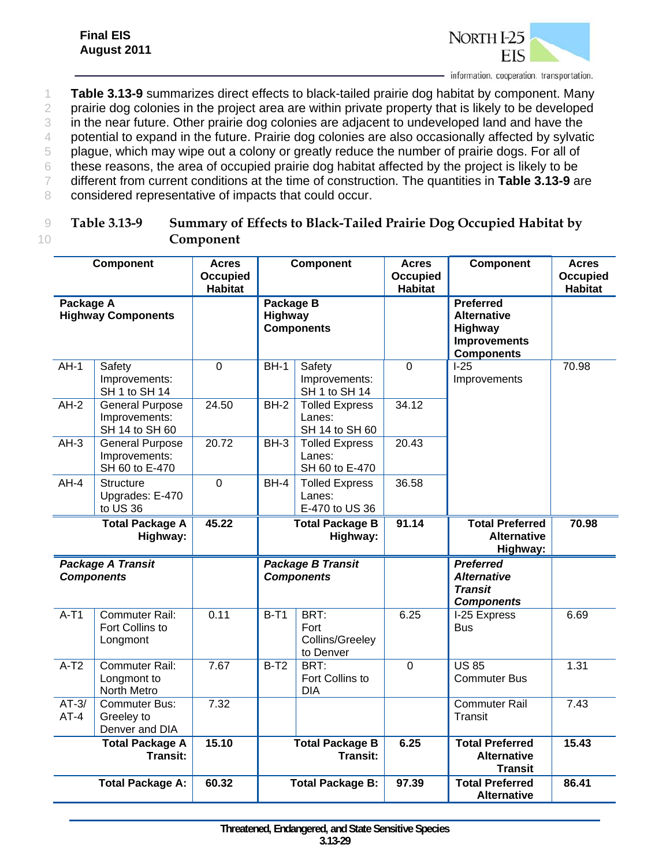

- 1 **Table 3.13-9** summarizes direct effects to black-tailed prairie dog habitat by component. Many
- 2 prairie dog colonies in the project area are within private property that is likely to be developed
- 3 in the near future. Other prairie dog colonies are adjacent to undeveloped land and have the
- 4 potential to expand in the future. Prairie dog colonies are also occasionally affected by sylvatic
- 5 plague, which may wipe out a colony or greatly reduce the number of prairie dogs. For all of
- 6 these reasons, the area of occupied prairie dog habitat affected by the project is likely to be
- 7 different from current conditions at the time of construction. The quantities in **Table 3.13-9** are
- 8 considered representative of impacts that could occur.

| Table 3.13-9 | Summary of Effects to Black-Tailed Prairie Dog Occupied Habitat by |
|--------------|--------------------------------------------------------------------|
|              | Component                                                          |

|                   | <b>Component</b>                                          | <b>Acres</b><br><b>Occupied</b><br><b>Habitat</b> | <b>Component</b>                          |                                                   | <b>Acres</b><br><b>Occupied</b><br><b>Habitat</b> | <b>Component</b>                                                                              | <b>Acres</b><br><b>Occupied</b><br><b>Habitat</b> |
|-------------------|-----------------------------------------------------------|---------------------------------------------------|-------------------------------------------|---------------------------------------------------|---------------------------------------------------|-----------------------------------------------------------------------------------------------|---------------------------------------------------|
| Package A         | <b>Highway Components</b>                                 |                                                   | Package B<br>Highway<br><b>Components</b> |                                                   |                                                   | <b>Preferred</b><br><b>Alternative</b><br>Highway<br><b>Improvements</b><br><b>Components</b> |                                                   |
| $AH-1$            | Safety<br>Improvements:<br>SH 1 to SH 14                  | $\overline{0}$                                    | $BH-1$                                    | Safety<br>Improvements:<br>SH 1 to SH 14          | $\overline{0}$                                    | $1-25$<br>Improvements                                                                        | 70.98                                             |
| $AH-2$            | <b>General Purpose</b><br>Improvements:<br>SH 14 to SH 60 | 24.50                                             | $BH-2$                                    | <b>Tolled Express</b><br>Lanes:<br>SH 14 to SH 60 | 34.12                                             |                                                                                               |                                                   |
| $AH-3$            | <b>General Purpose</b><br>Improvements:<br>SH 60 to E-470 | 20.72                                             | $BH-3$                                    | <b>Tolled Express</b><br>Lanes:<br>SH 60 to E-470 | 20.43                                             |                                                                                               |                                                   |
| $AH-4$            | <b>Structure</b><br>Upgrades: E-470<br>to US 36           | $\mathbf 0$                                       | $BH-4$                                    | <b>Tolled Express</b><br>Lanes:<br>E-470 to US 36 | 36.58                                             |                                                                                               |                                                   |
|                   | <b>Total Package A</b><br>Highway:                        | 45.22                                             |                                           | <b>Total Package B</b><br>Highway:                | 91.14                                             | <b>Total Preferred</b><br><b>Alternative</b><br>Highway:                                      | 70.98                                             |
|                   | <b>Package A Transit</b><br><b>Components</b>             |                                                   |                                           | <b>Package B Transit</b><br><b>Components</b>     |                                                   | <b>Preferred</b><br><b>Alternative</b><br><b>Transit</b><br><b>Components</b>                 |                                                   |
| $A-T1$            | Commuter Rail:<br>Fort Collins to<br>Longmont             | 0.11                                              | $B-T1$                                    | BRT:<br>Fort<br>Collins/Greeley<br>to Denver      | 6.25                                              | I-25 Express<br><b>Bus</b>                                                                    | 6.69                                              |
| $A-T2$            | Commuter Rail:<br>Longmont to<br>North Metro              | 7.67                                              | $B-T2$                                    | BRT:<br>Fort Collins to<br><b>DIA</b>             | $\overline{0}$                                    | $\overline{US}$ 85<br><b>Commuter Bus</b>                                                     | 1.31                                              |
| $AT-3/$<br>$AT-4$ | <b>Commuter Bus:</b><br>Greeley to<br>Denver and DIA      | 7.32                                              |                                           |                                                   |                                                   | <b>Commuter Rail</b><br>Transit                                                               | 7.43                                              |
|                   | <b>Total Package A</b><br>Transit:                        | 15.10                                             |                                           | <b>Total Package B</b><br>Transit:                | 6.25                                              | <b>Total Preferred</b><br><b>Alternative</b><br><b>Transit</b>                                | 15.43                                             |
|                   | <b>Total Package A:</b>                                   | 60.32                                             |                                           | <b>Total Package B:</b>                           | 97.39                                             | <b>Total Preferred</b><br><b>Alternative</b>                                                  | 86.41                                             |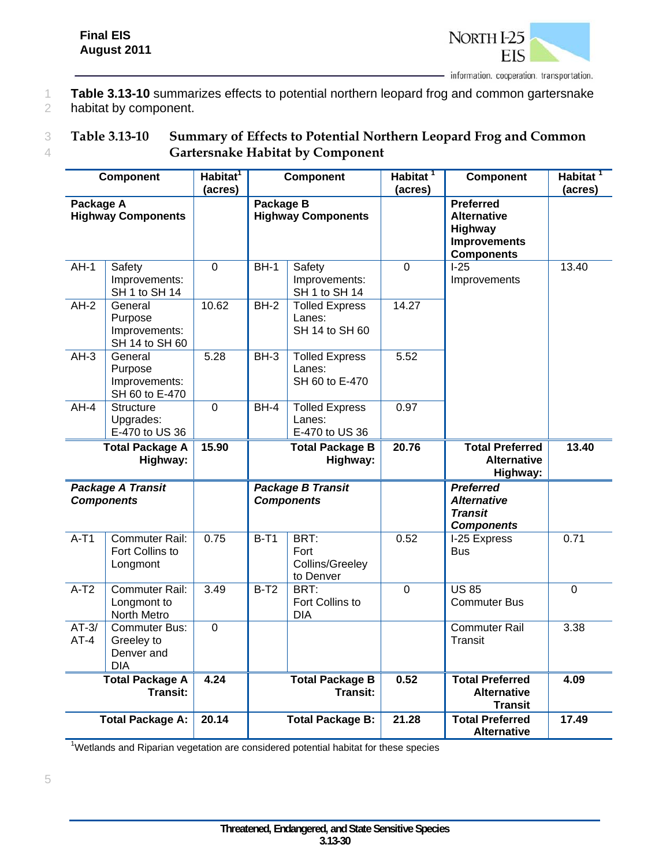

1 **Table 3.13-10** summarizes effects to potential northern leopard frog and common gartersnake 2 habitat by component.

#### 3 **Table 3.13-10 Summary of Effects to Potential Northern Leopard Frog and Common**  4 **Gartersnake Habitat by Component**

|                   | Component                                                                               | Habitat <sup>1</sup><br>(acres) | <b>Component</b>                       |                                                   | Habitat <sup>1</sup><br>(acres)                                | <b>Component</b>                                                              | Habitat <sup>1</sup><br>(acres) |  |  |                                                                                                      |  |
|-------------------|-----------------------------------------------------------------------------------------|---------------------------------|----------------------------------------|---------------------------------------------------|----------------------------------------------------------------|-------------------------------------------------------------------------------|---------------------------------|--|--|------------------------------------------------------------------------------------------------------|--|
| Package A         | <b>Highway Components</b>                                                               |                                 | Package B<br><b>Highway Components</b> |                                                   |                                                                |                                                                               |                                 |  |  | <b>Preferred</b><br><b>Alternative</b><br><b>Highway</b><br><b>Improvements</b><br><b>Components</b> |  |
| $AH-1$            | <b>Safety</b><br>Improvements:<br>SH 1 to SH 14                                         | $\overline{0}$                  | $BH-1$                                 | Safety<br>Improvements:<br>SH 1 to SH 14          | $\overline{0}$                                                 | $1-25$<br>Improvements                                                        | 13.40                           |  |  |                                                                                                      |  |
| $AH-2$            | General<br>Purpose<br>Improvements:<br>SH 14 to SH 60                                   | 10.62                           | $BH-2$                                 | <b>Tolled Express</b><br>Lanes:<br>SH 14 to SH 60 | 14.27                                                          |                                                                               |                                 |  |  |                                                                                                      |  |
| $AH-3$            | General<br>Purpose<br>Improvements:<br>SH 60 to E-470                                   | 5.28                            | $BH-3$                                 | <b>Tolled Express</b><br>Lanes:<br>SH 60 to E-470 | 5.52                                                           |                                                                               |                                 |  |  |                                                                                                      |  |
| $AH-4$            | <b>Structure</b><br>Upgrades:<br>E-470 to US 36                                         | $\overline{0}$                  | $BH-4$                                 | <b>Tolled Express</b><br>Lanes:<br>E-470 to US 36 | 0.97                                                           |                                                                               |                                 |  |  |                                                                                                      |  |
|                   | <b>Total Package A</b><br>Highway:                                                      | 15.90                           | <b>Total Package B</b><br>Highway:     |                                                   | 20.76                                                          | <b>Total Preferred</b><br><b>Alternative</b><br>Highway:                      | 13.40                           |  |  |                                                                                                      |  |
|                   | <b>Package A Transit</b><br><b>Components</b>                                           |                                 |                                        | <b>Package B Transit</b><br><b>Components</b>     |                                                                | <b>Preferred</b><br><b>Alternative</b><br><b>Transit</b><br><b>Components</b> |                                 |  |  |                                                                                                      |  |
| $A-T1$            | <b>Commuter Rail:</b><br>Fort Collins to<br>Longmont                                    | 0.75                            | $B-T1$                                 | BRT:<br>Fort<br>Collins/Greeley<br>to Denver      | 0.52                                                           | I-25 Express<br>Bus                                                           | 0.71                            |  |  |                                                                                                      |  |
| $A-T2$            | <b>Commuter Rail:</b><br>Longmont to<br>North Metro                                     | 3.49                            | $B-T2$                                 | BRT:<br>Fort Collins to<br><b>DIA</b>             | $\overline{0}$                                                 | <b>US 85</b><br><b>Commuter Bus</b>                                           | $\overline{0}$                  |  |  |                                                                                                      |  |
| $AT-3/$<br>$AT-4$ | <b>Commuter Bus:</b><br>Greeley to<br>Denver and<br><b>DIA</b>                          | $\mathbf 0$                     |                                        |                                                   |                                                                | <b>Commuter Rail</b><br><b>Transit</b>                                        | 3.38                            |  |  |                                                                                                      |  |
|                   | 4.24<br><b>Total Package A</b><br><b>Total Package B</b><br><b>Transit:</b><br>Transit: |                                 |                                        | 0.52                                              | <b>Total Preferred</b><br><b>Alternative</b><br><b>Transit</b> | 4.09                                                                          |                                 |  |  |                                                                                                      |  |
|                   | <b>Total Package A:</b>                                                                 | 20.14                           |                                        | <b>Total Package B:</b>                           | 21.28                                                          | <b>Total Preferred</b><br><b>Alternative</b>                                  | 17.49                           |  |  |                                                                                                      |  |

<sup>1</sup>Wetlands and Riparian vegetation are considered potential habitat for these species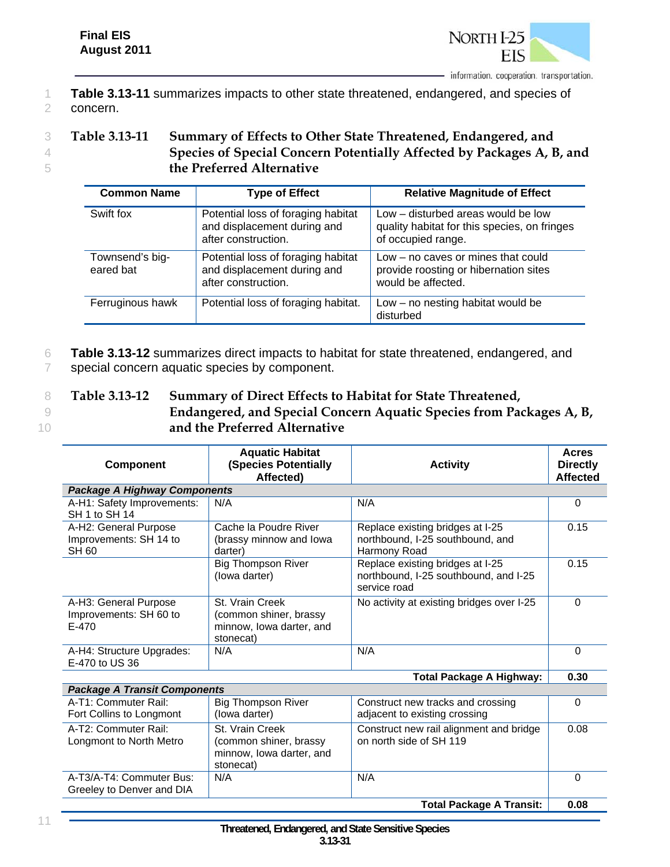

1 **Table 3.13-11** summarizes impacts to other state threatened, endangered, and species of 2 concern.

#### 3 **Table 3.13-11 Summary of Effects to Other State Threatened, Endangered, and**  4 **Species of Special Concern Potentially Affected by Packages A, B, and**  5 **the Preferred Alternative**

| <b>Common Name</b>           | <b>Type of Effect</b>                                                                    | <b>Relative Magnitude of Effect</b>                                                                      |
|------------------------------|------------------------------------------------------------------------------------------|----------------------------------------------------------------------------------------------------------|
| Swift fox                    | Potential loss of foraging habitat<br>and displacement during and<br>after construction. | Low – disturbed areas would be low<br>quality habitat for this species, on fringes<br>of occupied range. |
| Townsend's big-<br>eared bat | Potential loss of foraging habitat<br>and displacement during and<br>after construction. | Low – no caves or mines that could<br>provide roosting or hibernation sites<br>would be affected.        |
| Ferruginous hawk             | Potential loss of foraging habitat.                                                      | $Low - no$ nesting habitat would be<br>disturbed                                                         |

6 **Table 3.13-12** summarizes direct impacts to habitat for state threatened, endangered, and 7 special concern aquatic species by component.

- 8 **Table 3.13-12 Summary of Direct Effects to Habitat for State Threatened,**
- 

9 **Endangered, and Special Concern Aquatic Species from Packages A, B,**  10 **and the Preferred Alternative** 

| <b>Component</b>                                         | <b>Aquatic Habitat</b><br><b>(Species Potentially</b><br>Affected)                 | <b>Activity</b>                                                                           | <b>Acres</b><br><b>Directly</b><br><b>Affected</b> |  |  |
|----------------------------------------------------------|------------------------------------------------------------------------------------|-------------------------------------------------------------------------------------------|----------------------------------------------------|--|--|
| <b>Package A Highway Components</b>                      |                                                                                    |                                                                                           |                                                    |  |  |
| A-H1: Safety Improvements:<br>SH 1 to SH 14              | N/A                                                                                | N/A                                                                                       | $\Omega$                                           |  |  |
| A-H2: General Purpose                                    | Cache la Poudre River                                                              | Replace existing bridges at I-25                                                          | 0.15                                               |  |  |
| Improvements: SH 14 to<br>SH 60                          | (brassy minnow and lowa<br>darter)                                                 | northbound, I-25 southbound, and<br>Harmony Road                                          |                                                    |  |  |
|                                                          | <b>Big Thompson River</b><br>(lowa darter)                                         | Replace existing bridges at I-25<br>northbound, I-25 southbound, and I-25<br>service road | 0.15                                               |  |  |
| A-H3: General Purpose<br>Improvements: SH 60 to<br>E-470 | St. Vrain Creek<br>(common shiner, brassy<br>minnow, lowa darter, and<br>stonecat) | No activity at existing bridges over I-25                                                 | $\Omega$                                           |  |  |
| A-H4: Structure Upgrades:<br>E-470 to US 36              | N/A                                                                                | N/A                                                                                       | 0                                                  |  |  |
| <b>Total Package A Highway:</b>                          |                                                                                    |                                                                                           |                                                    |  |  |
| Declesse A Trensit Componente                            |                                                                                    |                                                                                           |                                                    |  |  |

| <b>Package A Transit Components</b>                   |                                                                                    |                                                                    |      |  |  |
|-------------------------------------------------------|------------------------------------------------------------------------------------|--------------------------------------------------------------------|------|--|--|
| A-T1: Commuter Rail:<br>Fort Collins to Longmont      | <b>Big Thompson River</b><br>(lowa darter)                                         | Construct new tracks and crossing<br>adjacent to existing crossing |      |  |  |
| A-T2: Commuter Rail:<br>Longmont to North Metro       | St. Vrain Creek<br>(common shiner, brassy<br>minnow, lowa darter, and<br>stonecat) | Construct new rail alignment and bridge<br>on north side of SH 119 | 0.08 |  |  |
| A-T3/A-T4: Commuter Bus:<br>Greeley to Denver and DIA | N/A                                                                                | N/A                                                                |      |  |  |
| <b>Total Package A Transit:</b>                       |                                                                                    |                                                                    |      |  |  |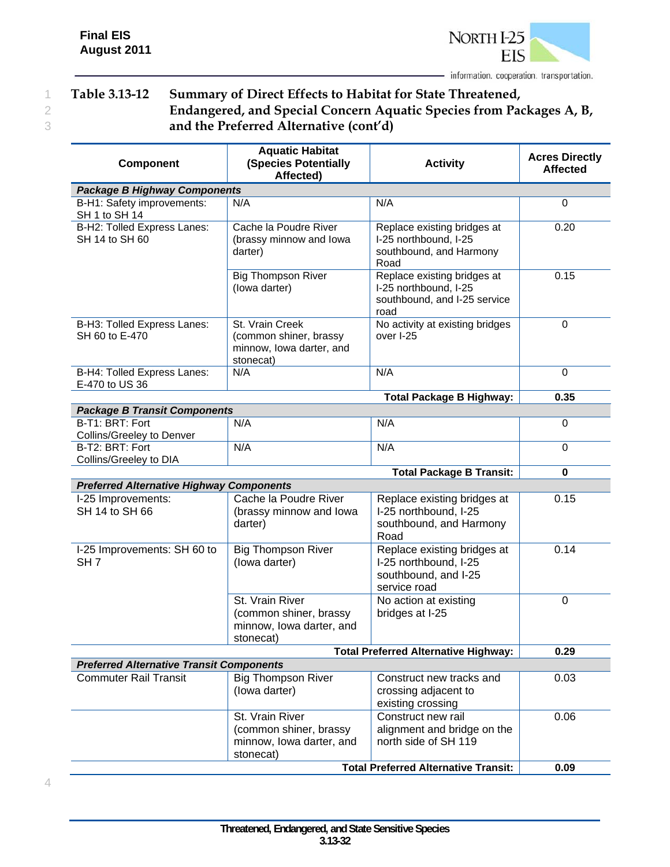

### 1 **Table 3.13-12 Summary of Direct Effects to Habitat for State Threatened,**  2 **Endangered, and Special Concern Aquatic Species from Packages A, B,**  3 **and the Preferred Alternative (cont'd)**

| <b>Component</b>                                                           | <b>Aquatic Habitat</b><br><b>(Species Potentially</b><br>Affected)                                                                 | <b>Activity</b>                                                                              | <b>Acres Directly</b><br><b>Affected</b> |  |  |
|----------------------------------------------------------------------------|------------------------------------------------------------------------------------------------------------------------------------|----------------------------------------------------------------------------------------------|------------------------------------------|--|--|
| <b>Package B Highway Components</b>                                        |                                                                                                                                    |                                                                                              |                                          |  |  |
| B-H1: Safety improvements:<br>SH 1 to SH 14                                | N/A                                                                                                                                | N/A                                                                                          | $\Omega$                                 |  |  |
| B-H2: Tolled Express Lanes:<br>SH 14 to SH 60                              | Cache la Poudre River<br>(brassy minnow and lowa<br>darter)                                                                        | Replace existing bridges at<br>I-25 northbound, I-25<br>southbound, and Harmony<br>Road      | 0.20                                     |  |  |
|                                                                            | <b>Big Thompson River</b><br>(lowa darter)                                                                                         | Replace existing bridges at<br>I-25 northbound, I-25<br>southbound, and I-25 service<br>road | 0.15                                     |  |  |
| B-H3: Tolled Express Lanes:<br>SH 60 to E-470                              | No activity at existing bridges<br>St. Vrain Creek<br>(common shiner, brassy<br>over I-25<br>minnow, lowa darter, and<br>stonecat) |                                                                                              | $\boldsymbol{0}$                         |  |  |
| B-H4: Tolled Express Lanes:<br>E-470 to US 36                              | N/A<br>N/A                                                                                                                         |                                                                                              | 0                                        |  |  |
|                                                                            | 0.35                                                                                                                               |                                                                                              |                                          |  |  |
| <b>Package B Transit Components</b>                                        |                                                                                                                                    |                                                                                              |                                          |  |  |
| B-T1: BRT: Fort<br>Collins/Greeley to Denver                               | N/A                                                                                                                                | N/A                                                                                          | 0                                        |  |  |
| B-T2: BRT: Fort<br>Collins/Greeley to DIA                                  | N/A                                                                                                                                | N/A                                                                                          | 0                                        |  |  |
|                                                                            |                                                                                                                                    | <b>Total Package B Transit:</b>                                                              | $\mathbf 0$                              |  |  |
| <b>Preferred Alternative Highway Components</b>                            |                                                                                                                                    |                                                                                              |                                          |  |  |
| I-25 Improvements:<br>SH 14 to SH 66                                       | Cache la Poudre River<br>(brassy minnow and lowa<br>darter)                                                                        | Replace existing bridges at<br>I-25 northbound, I-25<br>southbound, and Harmony<br>Road      | 0.15                                     |  |  |
| I-25 Improvements: SH 60 to<br>SH <sub>7</sub>                             | <b>Big Thompson River</b><br>(lowa darter)                                                                                         | Replace existing bridges at<br>I-25 northbound, I-25<br>southbound, and I-25<br>service road | 0.14                                     |  |  |
|                                                                            | St. Vrain River<br>(common shiner, brassy<br>minnow, lowa darter, and<br>stonecat)                                                 | No action at existing<br>bridges at I-25                                                     | $\pmb{0}$                                |  |  |
|                                                                            | 0.29                                                                                                                               |                                                                                              |                                          |  |  |
| <b>Preferred Alternative Transit Components</b>                            |                                                                                                                                    |                                                                                              |                                          |  |  |
| <b>Commuter Rail Transit</b><br><b>Big Thompson River</b><br>(lowa darter) |                                                                                                                                    | Construct new tracks and<br>crossing adjacent to<br>existing crossing                        | 0.03                                     |  |  |
|                                                                            | St. Vrain River<br>(common shiner, brassy<br>minnow, lowa darter, and<br>stonecat)                                                 | Construct new rail<br>alignment and bridge on the<br>north side of SH 119                    | 0.06<br>0.09                             |  |  |
| <b>Total Preferred Alternative Transit:</b>                                |                                                                                                                                    |                                                                                              |                                          |  |  |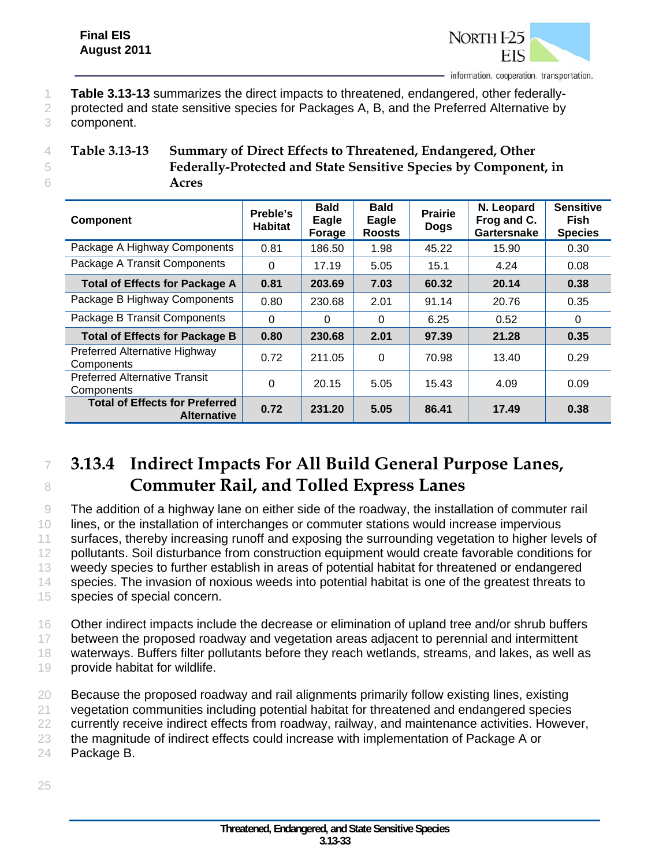

- 1 **Table 3.13-13** summarizes the direct impacts to threatened, endangered, other federally-
- 2 protected and state sensitive species for Packages A, B, and the Preferred Alternative by
- 3 component.

| Table 3.13-13 | Summary of Direct Effects to Threatened, Endangered, Other       |
|---------------|------------------------------------------------------------------|
|               | Federally-Protected and State Sensitive Species by Component, in |
|               | Acres                                                            |

| <b>Component</b>                                            | Preble's<br><b>Habitat</b> | <b>Bald</b><br>Eagle<br>Forage | <b>Bald</b><br>Eagle<br><b>Roosts</b> | <b>Prairie</b><br><b>Dogs</b> | N. Leopard<br>Frog and C.<br>Gartersnake | <b>Sensitive</b><br><b>Fish</b><br><b>Species</b> |
|-------------------------------------------------------------|----------------------------|--------------------------------|---------------------------------------|-------------------------------|------------------------------------------|---------------------------------------------------|
| Package A Highway Components                                | 0.81                       | 186.50                         | 1.98                                  | 45.22                         | 15.90                                    | 0.30                                              |
| Package A Transit Components                                | $\Omega$                   | 17.19                          | 5.05                                  | 15.1                          | 4.24                                     | 0.08                                              |
| <b>Total of Effects for Package A</b>                       | 0.81                       | 203.69                         | 7.03                                  | 60.32                         | 20.14                                    | 0.38                                              |
| Package B Highway Components                                | 0.80                       | 230.68                         | 2.01                                  | 91.14                         | 20.76                                    | 0.35                                              |
| Package B Transit Components                                | $\Omega$                   | $\Omega$                       | $\Omega$                              | 6.25                          | 0.52                                     | 0                                                 |
| <b>Total of Effects for Package B</b>                       | 0.80                       | 230.68                         | 2.01                                  | 97.39                         | 21.28                                    | 0.35                                              |
| Preferred Alternative Highway<br>Components                 | 0.72                       | 211.05                         | $\Omega$                              | 70.98                         | 13.40                                    | 0.29                                              |
| <b>Preferred Alternative Transit</b><br>Components          | 0                          | 20.15                          | 5.05                                  | 15.43                         | 4.09                                     | 0.09                                              |
| <b>Total of Effects for Preferred</b><br><b>Alternative</b> | 0.72                       | 231.20                         | 5.05                                  | 86.41                         | 17.49                                    | 0.38                                              |

# <sup>7</sup> **3.13.4 Indirect Impacts For All Build General Purpose Lanes,**  <sup>8</sup> **Commuter Rail, and Tolled Express Lanes**

 The addition of a highway lane on either side of the roadway, the installation of commuter rail lines, or the installation of interchanges or commuter stations would increase impervious 11 surfaces, thereby increasing runoff and exposing the surrounding vegetation to higher levels of pollutants. Soil disturbance from construction equipment would create favorable conditions for weedy species to further establish in areas of potential habitat for threatened or endangered species. The invasion of noxious weeds into potential habitat is one of the greatest threats to species of special concern.

16 Other indirect impacts include the decrease or elimination of upland tree and/or shrub buffers 17 between the proposed roadway and vegetation areas adjacent to perennial and intermittent 18 waterways. Buffers filter pollutants before they reach wetlands, streams, and lakes, as well as

- 19 provide habitat for wildlife.
- 20 Because the proposed roadway and rail alignments primarily follow existing lines, existing
- 21 vegetation communities including potential habitat for threatened and endangered species
- 22 currently receive indirect effects from roadway, railway, and maintenance activities. However,
- 23 the magnitude of indirect effects could increase with implementation of Package A or 24 Package B.
- 25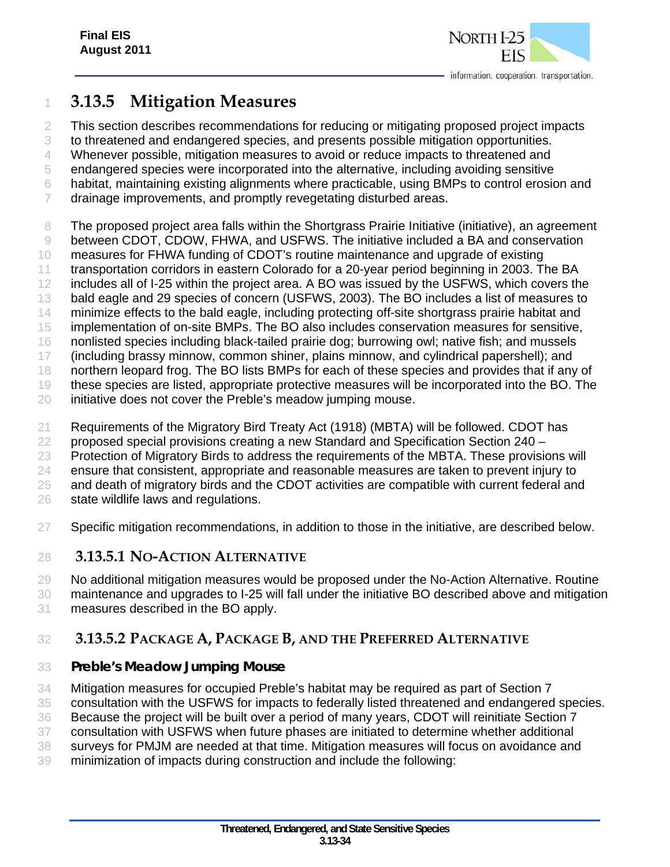

# **3.13.5 Mitigation Measures**

 This section describes recommendations for reducing or mitigating proposed project impacts to threatened and endangered species, and presents possible mitigation opportunities. Whenever possible, mitigation measures to avoid or reduce impacts to threatened and endangered species were incorporated into the alternative, including avoiding sensitive habitat, maintaining existing alignments where practicable, using BMPs to control erosion and 7 drainage improvements, and promptly revegetating disturbed areas.

8 The proposed project area falls within the Shortgrass Prairie Initiative (initiative), an agreement

 between CDOT, CDOW, FHWA, and USFWS. The initiative included a BA and conservation measures for FHWA funding of CDOT's routine maintenance and upgrade of existing

11 transportation corridors in eastern Colorado for a 20-year period beginning in 2003. The BA

includes all of I-25 within the project area. A BO was issued by the USFWS, which covers the

bald eagle and 29 species of concern (USFWS, 2003). The BO includes a list of measures to

14 minimize effects to the bald eagle, including protecting off-site shortgrass prairie habitat and

implementation of on-site BMPs. The BO also includes conservation measures for sensitive,

nonlisted species including black-tailed prairie dog; burrowing owl; native fish; and mussels

(including brassy minnow, common shiner, plains minnow, and cylindrical papershell); and

northern leopard frog. The BO lists BMPs for each of these species and provides that if any of

these species are listed, appropriate protective measures will be incorporated into the BO. The

initiative does not cover the Preble's meadow jumping mouse.

Requirements of the Migratory Bird Treaty Act (1918) (MBTA) will be followed. CDOT has

22 proposed special provisions creating a new Standard and Specification Section  $240 -$ 

Protection of Migratory Birds to address the requirements of the MBTA. These provisions will

ensure that consistent, appropriate and reasonable measures are taken to prevent injury to

25 and death of migratory birds and the CDOT activities are compatible with current federal and

state wildlife laws and regulations.

Specific mitigation recommendations, in addition to those in the initiative, are described below.

# **3.13.5.1 NO-ACTION ALTERNATIVE**

No additional mitigation measures would be proposed under the No-Action Alternative. Routine

 maintenance and upgrades to I-25 will fall under the initiative BO described above and mitigation measures described in the BO apply.

# **3.13.5.2 PACKAGE A, PACKAGE B, AND THE PREFERRED ALTERNATIVE**

# *Preble's Meadow Jumping Mouse*

Mitigation measures for occupied Preble's habitat may be required as part of Section 7

consultation with the USFWS for impacts to federally listed threatened and endangered species.

Because the project will be built over a period of many years, CDOT will reinitiate Section 7

consultation with USFWS when future phases are initiated to determine whether additional

surveys for PMJM are needed at that time. Mitigation measures will focus on avoidance and

minimization of impacts during construction and include the following: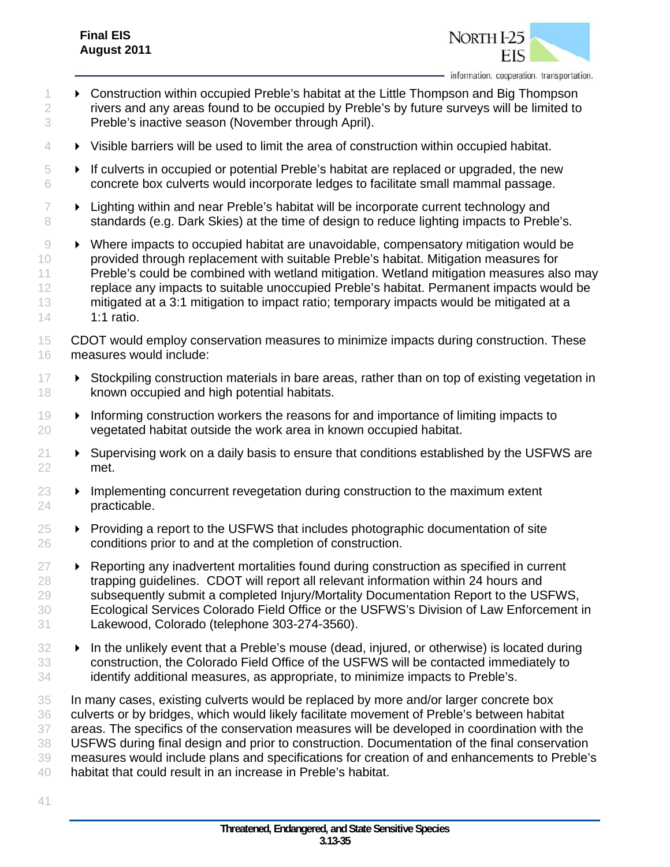

- **Construction within occupied Preble's habitat at the Little Thompson and Big Thompson**  rivers and any areas found to be occupied by Preble's by future surveys will be limited to Preble's inactive season (November through April).
- Visible barriers will be used to limit the area of construction within occupied habitat.
- $\overline{5}$   $\longrightarrow$  If culverts in occupied or potential Preble's habitat are replaced or upgraded, the new concrete box culverts would incorporate ledges to facilitate small mammal passage.
- $7 \rightarrow$  Lighting within and near Preble's habitat will be incorporate current technology and 8 standards (e.g. Dark Skies) at the time of design to reduce lighting impacts to Preble's.
- Where impacts to occupied habitat are unavoidable, compensatory mitigation would be provided through replacement with suitable Preble's habitat. Mitigation measures for 11 Preble's could be combined with wetland mitigation. Wetland mitigation measures also may replace any impacts to suitable unoccupied Preble's habitat. Permanent impacts would be 13 mitigated at a 3:1 mitigation to impact ratio; temporary impacts would be mitigated at a 1:1 ratio.
- CDOT would employ conservation measures to minimize impacts during construction. These measures would include:
- **EXECT FIDE EXECT** Stockpiling construction materials in bare areas, rather than on top of existing vegetation in known occupied and high potential habitats.
- Informing construction workers the reasons for and importance of limiting impacts to vegetated habitat outside the work area in known occupied habitat.
- $21 \rightarrow$  Supervising work on a daily basis to ensure that conditions established by the USFWS are met.
- $23 \rightarrow$  Implementing concurrent revegetation during construction to the maximum extent practicable.
- $25 \rightarrow$  Providing a report to the USFWS that includes photographic documentation of site conditions prior to and at the completion of construction.
- $27 \rightarrow$  Reporting any inadvertent mortalities found during construction as specified in current trapping guidelines. CDOT will report all relevant information within 24 hours and subsequently submit a completed Injury/Mortality Documentation Report to the USFWS, Ecological Services Colorado Field Office or the USFWS's Division of Law Enforcement in Lakewood, Colorado (telephone 303-274-3560).
- **IF** In the unlikely event that a Preble's mouse (dead, injured, or otherwise) is located during construction, the Colorado Field Office of the USFWS will be contacted immediately to identify additional measures, as appropriate, to minimize impacts to Preble's.
- In many cases, existing culverts would be replaced by more and/or larger concrete box culverts or by bridges, which would likely facilitate movement of Preble's between habitat areas. The specifics of the conservation measures will be developed in coordination with the USFWS during final design and prior to construction. Documentation of the final conservation measures would include plans and specifications for creation of and enhancements to Preble's habitat that could result in an increase in Preble's habitat.
-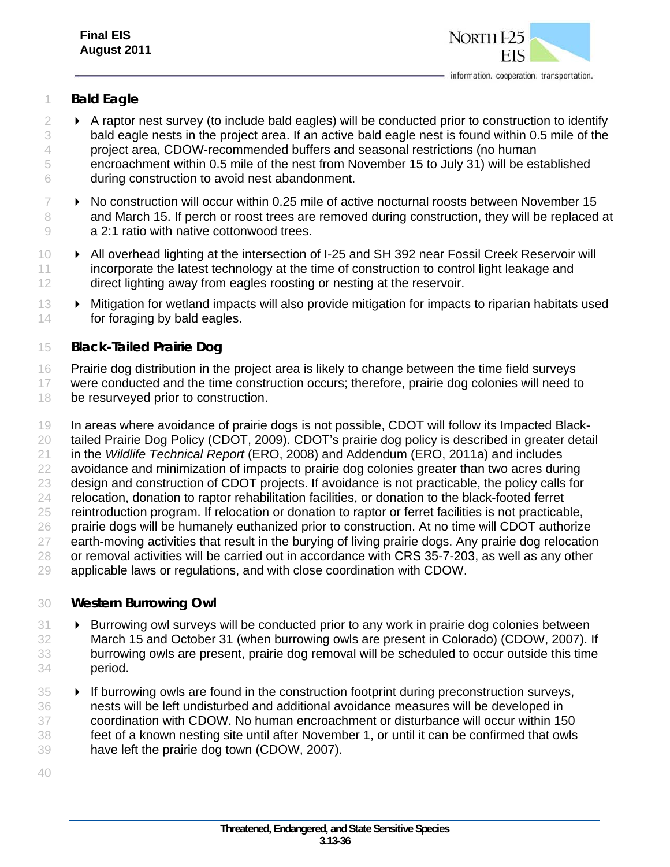

#### *Bald Eagle*

- $2 \rightarrow A$  raptor nest survey (to include bald eagles) will be conducted prior to construction to identify bald eagle nests in the project area. If an active bald eagle nest is found within 0.5 mile of the project area, CDOW-recommended buffers and seasonal restrictions (no human encroachment within 0.5 mile of the nest from November 15 to July 31) will be established during construction to avoid nest abandonment.
- $7 \rightarrow$  No construction will occur within 0.25 mile of active nocturnal roosts between November 15 8 and March 15. If perch or roost trees are removed during construction, they will be replaced at a 2:1 ratio with native cottonwood trees.
- **All overhead lighting at the intersection of I-25 and SH 392 near Fossil Creek Reservoir will**  incorporate the latest technology at the time of construction to control light leakage and 12 direct lighting away from eagles roosting or nesting at the reservoir.
- Mitigation for wetland impacts will also provide mitigation for impacts to riparian habitats used for foraging by bald eagles.

#### *Black-Tailed Prairie Dog*

Prairie dog distribution in the project area is likely to change between the time field surveys

- were conducted and the time construction occurs; therefore, prairie dog colonies will need to be resurveyed prior to construction.
- In areas where avoidance of prairie dogs is not possible, CDOT will follow its Impacted Black- tailed Prairie Dog Policy (CDOT, 2009). CDOT's prairie dog policy is described in greater detail in the *Wildlife Technical Report* (ERO, 2008) and Addendum (ERO, 2011a) and includes 22 avoidance and minimization of impacts to prairie dog colonies greater than two acres during design and construction of CDOT projects. If avoidance is not practicable, the policy calls for relocation, donation to raptor rehabilitation facilities, or donation to the black-footed ferret reintroduction program. If relocation or donation to raptor or ferret facilities is not practicable, prairie dogs will be humanely euthanized prior to construction. At no time will CDOT authorize 27 earth-moving activities that result in the burying of living prairie dogs. Any prairie dog relocation 28 or removal activities will be carried out in accordance with CRS 35-7-203, as well as any other applicable laws or regulations, and with close coordination with CDOW.

#### *Western Burrowing Owl*

- **Burrowing owl surveys will be conducted prior to any work in prairie dog colonies between**  March 15 and October 31 (when burrowing owls are present in Colorado) (CDOW, 2007). If burrowing owls are present, prairie dog removal will be scheduled to occur outside this time period.
- **If burrowing owls are found in the construction footprint during preconstruction surveys,**  nests will be left undisturbed and additional avoidance measures will be developed in coordination with CDOW. No human encroachment or disturbance will occur within 150 feet of a known nesting site until after November 1, or until it can be confirmed that owls have left the prairie dog town (CDOW, 2007).
-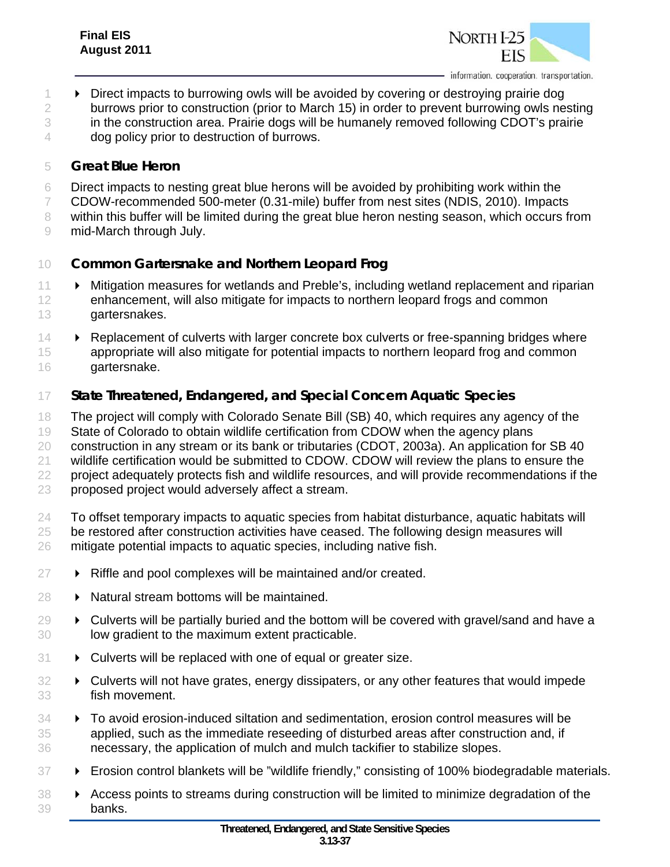

**Direct impacts to burrowing owls will be avoided by covering or destroying prairie dog** 2 burrows prior to construction (prior to March 15) in order to prevent burrowing owls nesting in the construction area. Prairie dogs will be humanely removed following CDOT's prairie dog policy prior to destruction of burrows.

#### *Great Blue Heron*

- Direct impacts to nesting great blue herons will be avoided by prohibiting work within the
- CDOW-recommended 500-meter (0.31-mile) buffer from nest sites (NDIS, 2010). Impacts

8 within this buffer will be limited during the great blue heron nesting season, which occurs from

mid-March through July.

## *Common Gartersnake and Northern Leopard Frog*

- Mitigation measures for wetlands and Preble's, including wetland replacement and riparian enhancement, will also mitigate for impacts to northern leopard frogs and common gartersnakes.
- **Replacement of culverts with larger concrete box culverts or free-spanning bridges where**  appropriate will also mitigate for potential impacts to northern leopard frog and common gartersnake.

## *State Threatened, Endangered, and Special Concern Aquatic Species*

The project will comply with Colorado Senate Bill (SB) 40, which requires any agency of the

State of Colorado to obtain wildlife certification from CDOW when the agency plans

construction in any stream or its bank or tributaries (CDOT, 2003a). An application for SB 40

21 wildlife certification would be submitted to CDOW. CDOW will review the plans to ensure the

project adequately protects fish and wildlife resources, and will provide recommendations if the

- proposed project would adversely affect a stream.
- To offset temporary impacts to aquatic species from habitat disturbance, aquatic habitats will be restored after construction activities have ceased. The following design measures will mitigate potential impacts to aquatic species, including native fish.
- **► Riffle and pool complexes will be maintained and/or created.**
- **D** Natural stream bottoms will be maintained.
- $29 \rightarrow$  Culverts will be partially buried and the bottom will be covered with gravel/sand and have a low gradient to the maximum extent practicable.
- **EX** Culverts will be replaced with one of equal or greater size.
- Culverts will not have grates, energy dissipaters, or any other features that would impede fish movement.
- To avoid erosion-induced siltation and sedimentation, erosion control measures will be applied, such as the immediate reseeding of disturbed areas after construction and, if necessary, the application of mulch and mulch tackifier to stabilize slopes.
- 37 Erosion control blankets will be "wildlife friendly," consisting of 100% biodegradable materials.
- 88 > Access points to streams during construction will be limited to minimize degradation of the banks.